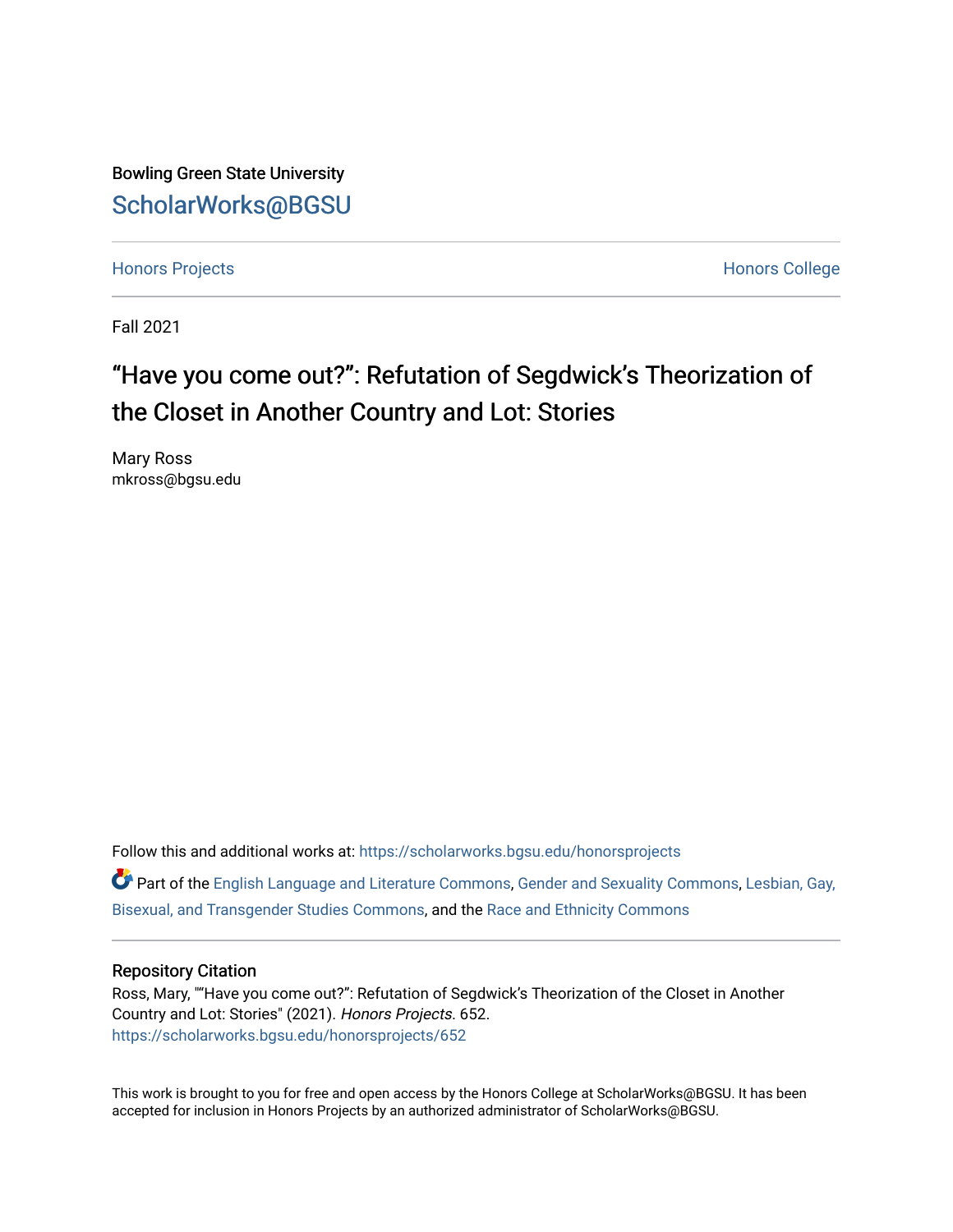Bowling Green State University [ScholarWorks@BGSU](https://scholarworks.bgsu.edu/) 

[Honors Projects](https://scholarworks.bgsu.edu/honorsprojects) **Honors** College **Honors** College **Honors** College

Fall 2021

# "Have you come out?": Refutation of Segdwick's Theorization of the Closet in Another Country and Lot: Stories

Mary Ross mkross@bgsu.edu

Follow this and additional works at: [https://scholarworks.bgsu.edu/honorsprojects](https://scholarworks.bgsu.edu/honorsprojects?utm_source=scholarworks.bgsu.edu%2Fhonorsprojects%2F652&utm_medium=PDF&utm_campaign=PDFCoverPages)  Part of the [English Language and Literature Commons](http://network.bepress.com/hgg/discipline/455?utm_source=scholarworks.bgsu.edu%2Fhonorsprojects%2F652&utm_medium=PDF&utm_campaign=PDFCoverPages), [Gender and Sexuality Commons,](http://network.bepress.com/hgg/discipline/420?utm_source=scholarworks.bgsu.edu%2Fhonorsprojects%2F652&utm_medium=PDF&utm_campaign=PDFCoverPages) [Lesbian, Gay,](http://network.bepress.com/hgg/discipline/560?utm_source=scholarworks.bgsu.edu%2Fhonorsprojects%2F652&utm_medium=PDF&utm_campaign=PDFCoverPages)  [Bisexual, and Transgender Studies Commons,](http://network.bepress.com/hgg/discipline/560?utm_source=scholarworks.bgsu.edu%2Fhonorsprojects%2F652&utm_medium=PDF&utm_campaign=PDFCoverPages) and the [Race and Ethnicity Commons](http://network.bepress.com/hgg/discipline/426?utm_source=scholarworks.bgsu.edu%2Fhonorsprojects%2F652&utm_medium=PDF&utm_campaign=PDFCoverPages)

# Repository Citation

Ross, Mary, ""Have you come out?": Refutation of Segdwick's Theorization of the Closet in Another Country and Lot: Stories" (2021). Honors Projects. 652. [https://scholarworks.bgsu.edu/honorsprojects/652](https://scholarworks.bgsu.edu/honorsprojects/652?utm_source=scholarworks.bgsu.edu%2Fhonorsprojects%2F652&utm_medium=PDF&utm_campaign=PDFCoverPages) 

This work is brought to you for free and open access by the Honors College at ScholarWorks@BGSU. It has been accepted for inclusion in Honors Projects by an authorized administrator of ScholarWorks@BGSU.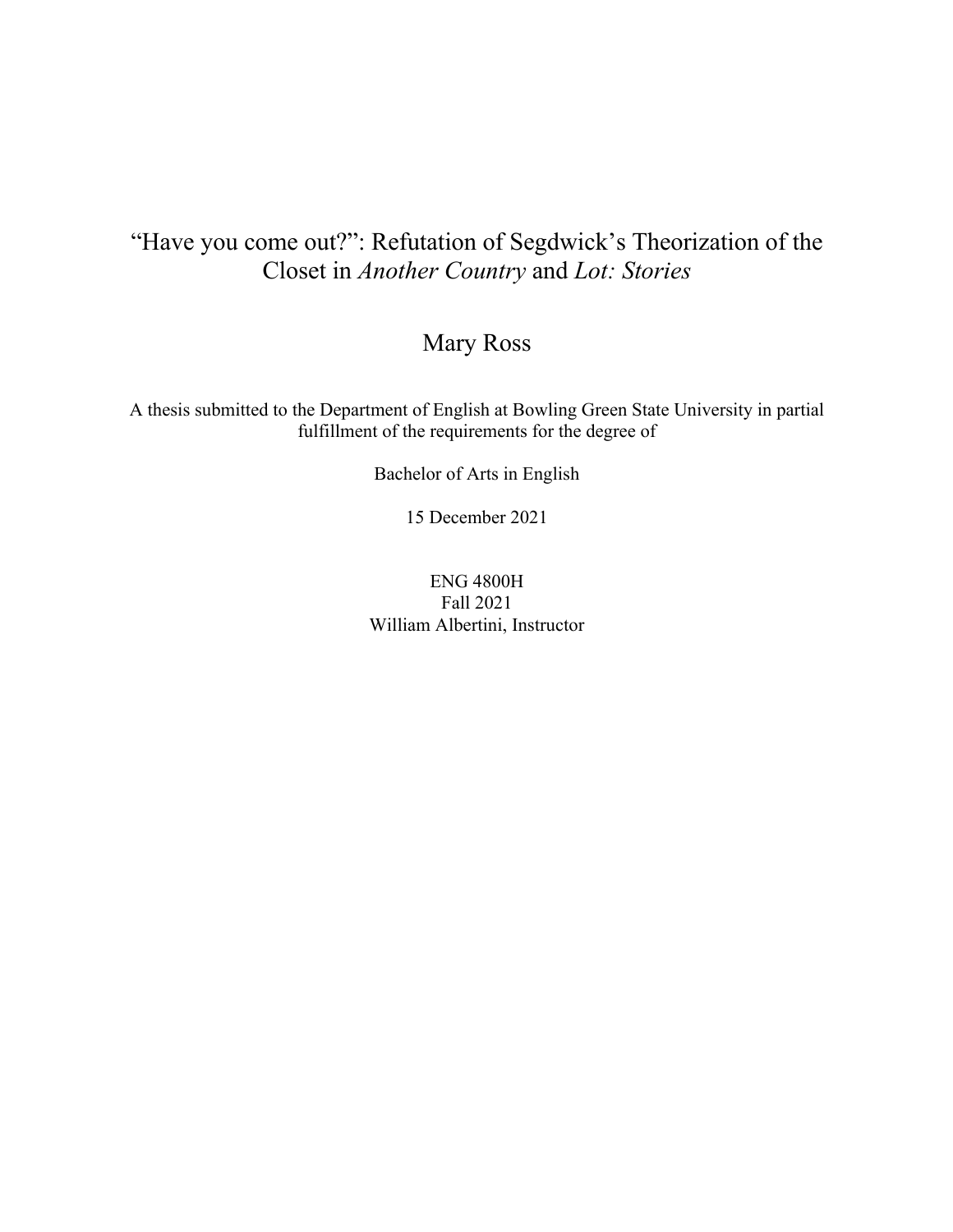# "Have you come out?": Refutation of Segdwick's Theorization of the Closet in *Another Country* and *Lot: Stories*

# Mary Ross

A thesis submitted to the Department of English at Bowling Green State University in partial fulfillment of the requirements for the degree of

Bachelor of Arts in English

15 December 2021

ENG 4800H Fall 2021 William Albertini, Instructor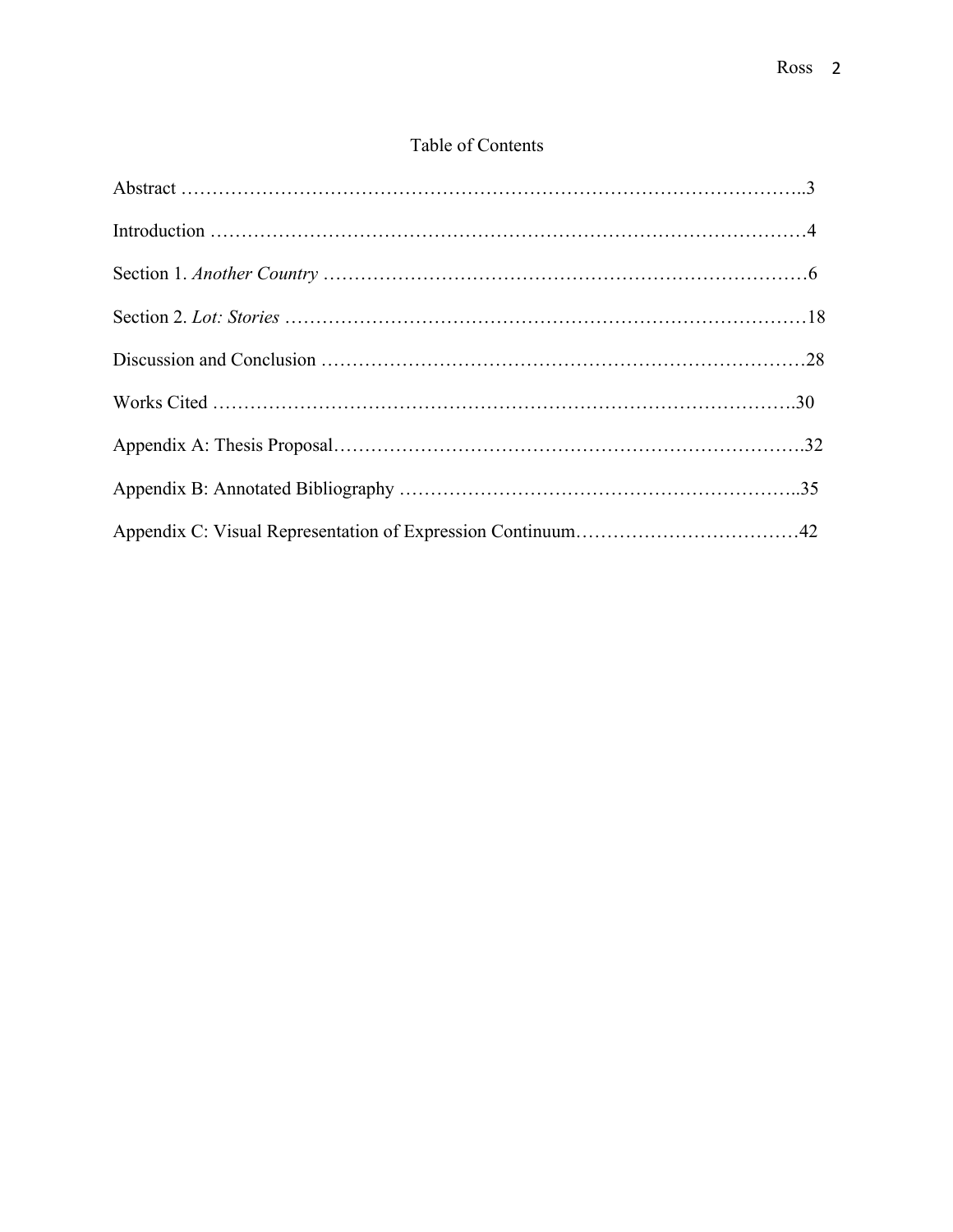# Table of Contents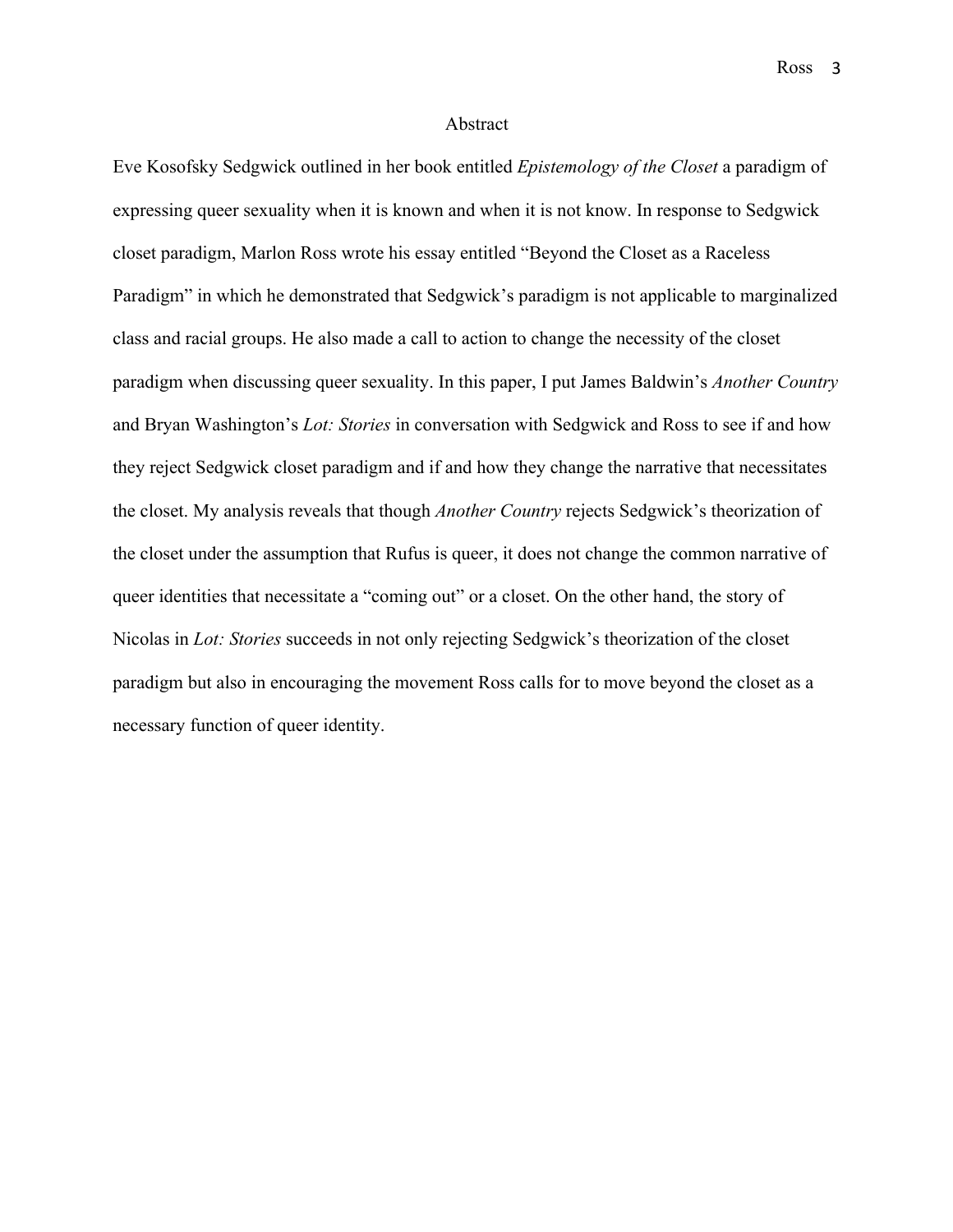#### Abstract

Eve Kosofsky Sedgwick outlined in her book entitled *Epistemology of the Closet* a paradigm of expressing queer sexuality when it is known and when it is not know. In response to Sedgwick closet paradigm, Marlon Ross wrote his essay entitled "Beyond the Closet as a Raceless Paradigm" in which he demonstrated that Sedgwick's paradigm is not applicable to marginalized class and racial groups. He also made a call to action to change the necessity of the closet paradigm when discussing queer sexuality. In this paper, I put James Baldwin's *Another Country* and Bryan Washington's *Lot: Stories* in conversation with Sedgwick and Ross to see if and how they reject Sedgwick closet paradigm and if and how they change the narrative that necessitates the closet. My analysis reveals that though *Another Country* rejects Sedgwick's theorization of the closet under the assumption that Rufus is queer, it does not change the common narrative of queer identities that necessitate a "coming out" or a closet. On the other hand, the story of Nicolas in *Lot: Stories* succeeds in not only rejecting Sedgwick's theorization of the closet paradigm but also in encouraging the movement Ross calls for to move beyond the closet as a necessary function of queer identity.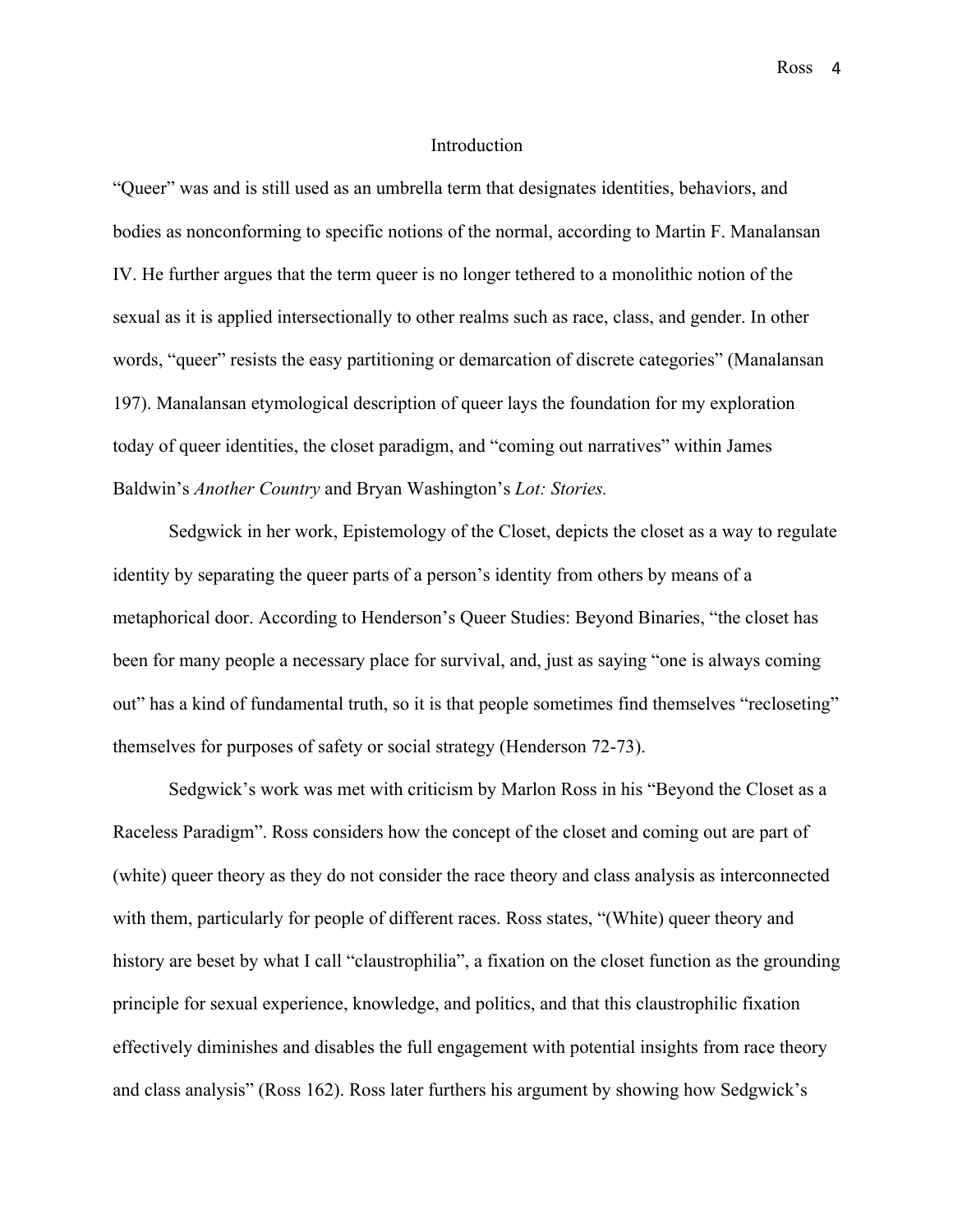# Introduction

"Queer" was and is still used as an umbrella term that designates identities, behaviors, and bodies as nonconforming to specific notions of the normal, according to Martin F. Manalansan IV. He further argues that the term queer is no longer tethered to a monolithic notion of the sexual as it is applied intersectionally to other realms such as race, class, and gender. In other words, "queer" resists the easy partitioning or demarcation of discrete categories" (Manalansan 197). Manalansan etymological description of queer lays the foundation for my exploration today of queer identities, the closet paradigm, and "coming out narratives" within James Baldwin's *Another Country* and Bryan Washington's *Lot: Stories.*

Sedgwick in her work, Epistemology of the Closet, depicts the closet as a way to regulate identity by separating the queer parts of a person's identity from others by means of a metaphorical door. According to Henderson's Queer Studies: Beyond Binaries, "the closet has been for many people a necessary place for survival, and, just as saying "one is always coming out" has a kind of fundamental truth, so it is that people sometimes find themselves "recloseting" themselves for purposes of safety or social strategy (Henderson 72-73).

Sedgwick's work was met with criticism by Marlon Ross in his "Beyond the Closet as a Raceless Paradigm". Ross considers how the concept of the closet and coming out are part of (white) queer theory as they do not consider the race theory and class analysis as interconnected with them, particularly for people of different races. Ross states, "(White) queer theory and history are beset by what I call "claustrophilia", a fixation on the closet function as the grounding principle for sexual experience, knowledge, and politics, and that this claustrophilic fixation effectively diminishes and disables the full engagement with potential insights from race theory and class analysis" (Ross 162). Ross later furthers his argument by showing how Sedgwick's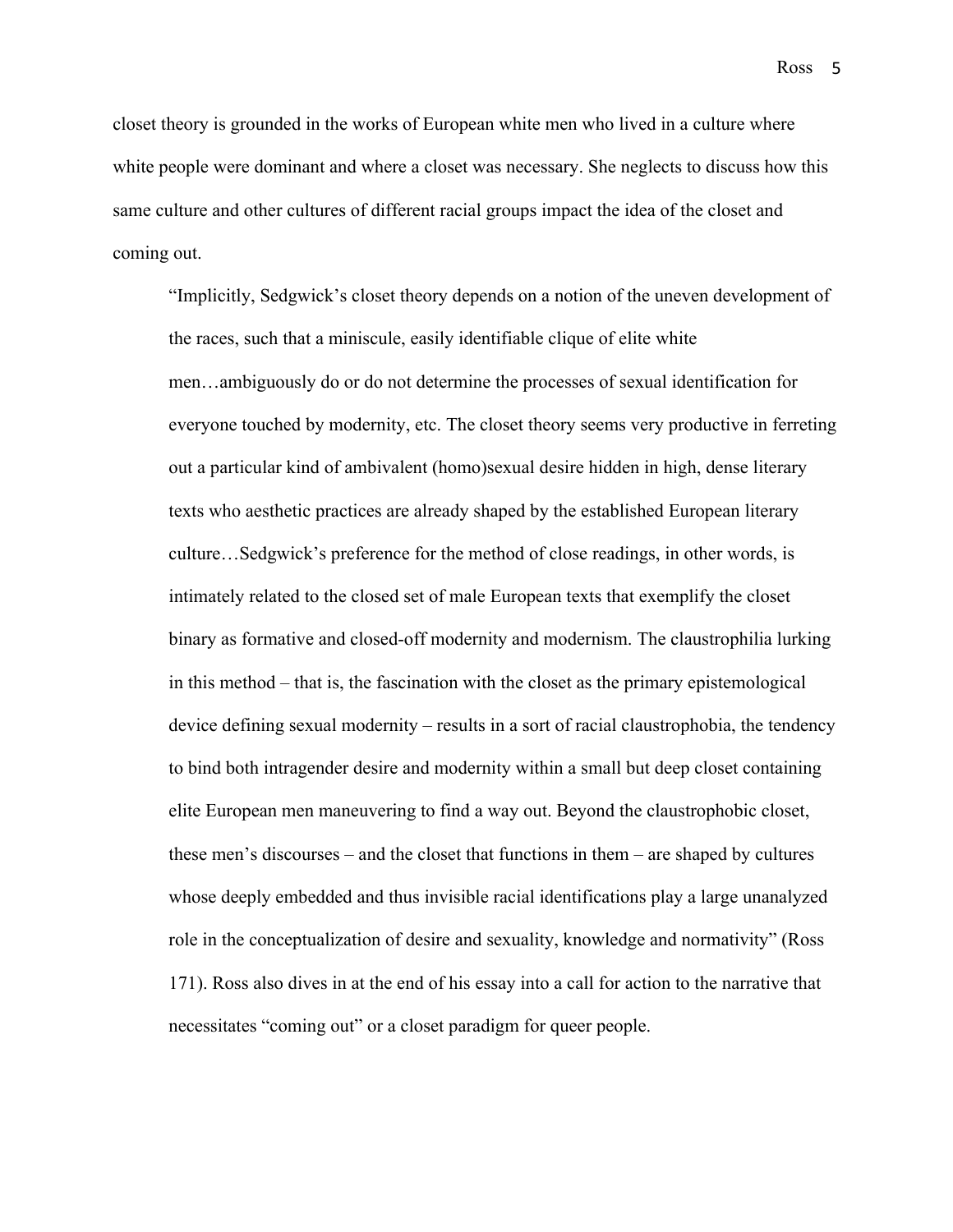closet theory is grounded in the works of European white men who lived in a culture where white people were dominant and where a closet was necessary. She neglects to discuss how this same culture and other cultures of different racial groups impact the idea of the closet and coming out.

"Implicitly, Sedgwick's closet theory depends on a notion of the uneven development of the races, such that a miniscule, easily identifiable clique of elite white men…ambiguously do or do not determine the processes of sexual identification for everyone touched by modernity, etc. The closet theory seems very productive in ferreting out a particular kind of ambivalent (homo)sexual desire hidden in high, dense literary texts who aesthetic practices are already shaped by the established European literary culture…Sedgwick's preference for the method of close readings, in other words, is intimately related to the closed set of male European texts that exemplify the closet binary as formative and closed-off modernity and modernism. The claustrophilia lurking in this method – that is, the fascination with the closet as the primary epistemological device defining sexual modernity – results in a sort of racial claustrophobia, the tendency to bind both intragender desire and modernity within a small but deep closet containing elite European men maneuvering to find a way out. Beyond the claustrophobic closet, these men's discourses – and the closet that functions in them – are shaped by cultures whose deeply embedded and thus invisible racial identifications play a large unanalyzed role in the conceptualization of desire and sexuality, knowledge and normativity" (Ross 171). Ross also dives in at the end of his essay into a call for action to the narrative that necessitates "coming out" or a closet paradigm for queer people.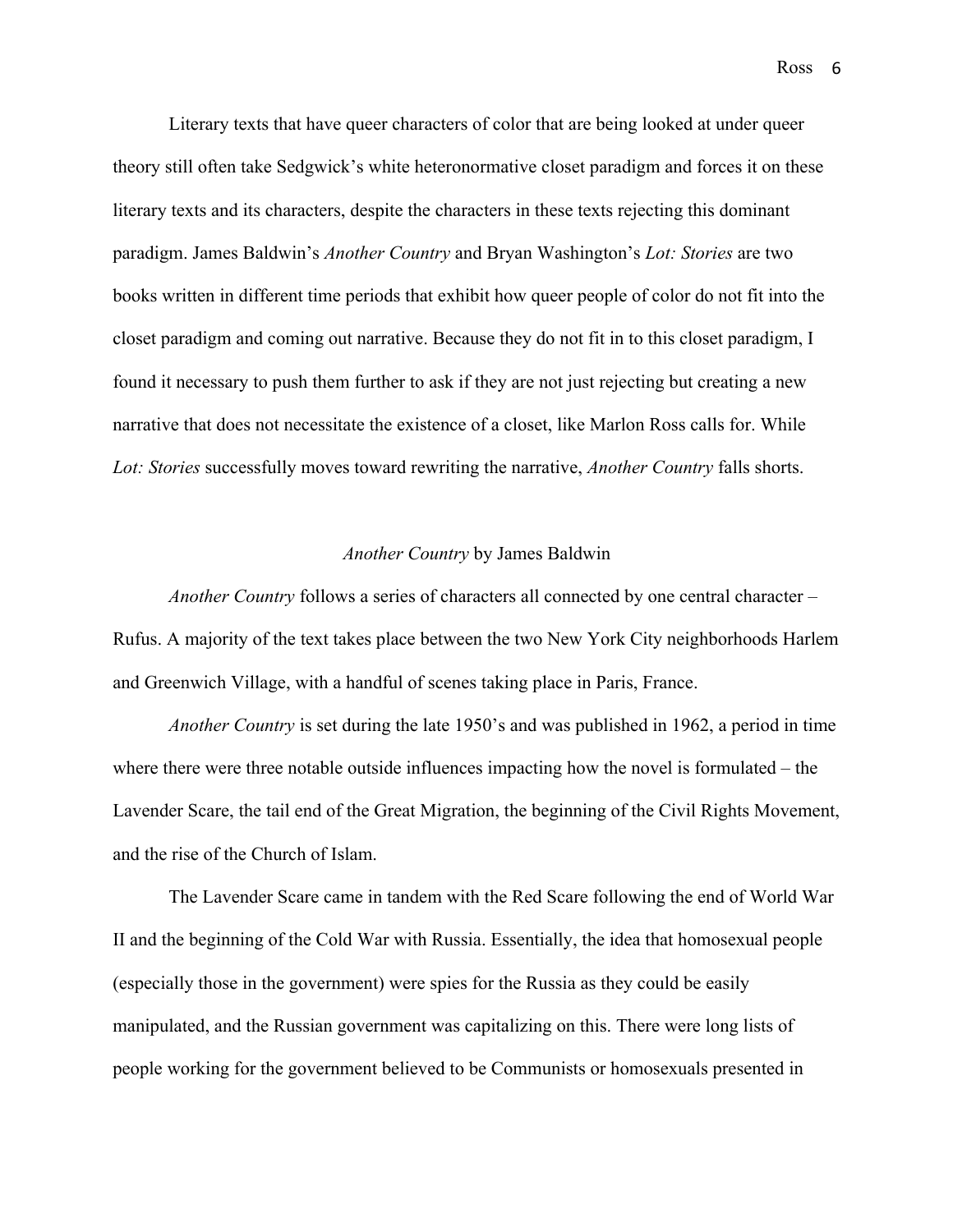Literary texts that have queer characters of color that are being looked at under queer theory still often take Sedgwick's white heteronormative closet paradigm and forces it on these literary texts and its characters, despite the characters in these texts rejecting this dominant paradigm. James Baldwin's *Another Country* and Bryan Washington's *Lot: Stories* are two books written in different time periods that exhibit how queer people of color do not fit into the closet paradigm and coming out narrative. Because they do not fit in to this closet paradigm, I found it necessary to push them further to ask if they are not just rejecting but creating a new narrative that does not necessitate the existence of a closet, like Marlon Ross calls for. While *Lot: Stories* successfully moves toward rewriting the narrative, *Another Country* falls shorts.

#### *Another Country* by James Baldwin

*Another Country* follows a series of characters all connected by one central character – Rufus. A majority of the text takes place between the two New York City neighborhoods Harlem and Greenwich Village, with a handful of scenes taking place in Paris, France.

*Another Country* is set during the late 1950's and was published in 1962, a period in time where there were three notable outside influences impacting how the novel is formulated – the Lavender Scare, the tail end of the Great Migration, the beginning of the Civil Rights Movement, and the rise of the Church of Islam.

The Lavender Scare came in tandem with the Red Scare following the end of World War II and the beginning of the Cold War with Russia. Essentially, the idea that homosexual people (especially those in the government) were spies for the Russia as they could be easily manipulated, and the Russian government was capitalizing on this. There were long lists of people working for the government believed to be Communists or homosexuals presented in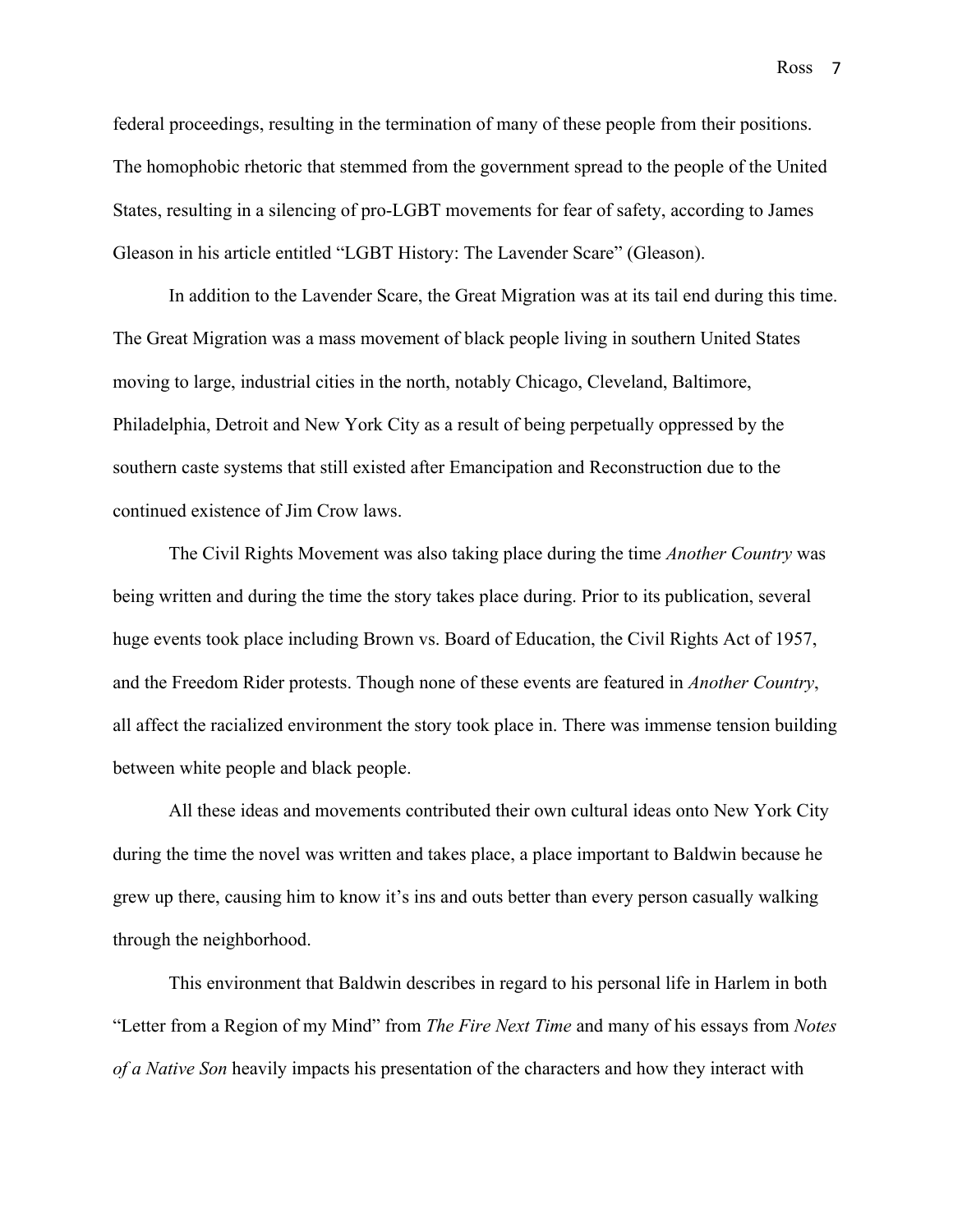federal proceedings, resulting in the termination of many of these people from their positions. The homophobic rhetoric that stemmed from the government spread to the people of the United States, resulting in a silencing of pro-LGBT movements for fear of safety, according to James Gleason in his article entitled "LGBT History: The Lavender Scare" (Gleason).

In addition to the Lavender Scare, the Great Migration was at its tail end during this time. The Great Migration was a mass movement of black people living in southern United States moving to large, industrial cities in the north, notably Chicago, Cleveland, Baltimore, Philadelphia, Detroit and New York City as a result of being perpetually oppressed by the southern caste systems that still existed after Emancipation and Reconstruction due to the continued existence of Jim Crow laws.

The Civil Rights Movement was also taking place during the time *Another Country* was being written and during the time the story takes place during. Prior to its publication, several huge events took place including Brown vs. Board of Education, the Civil Rights Act of 1957, and the Freedom Rider protests. Though none of these events are featured in *Another Country*, all affect the racialized environment the story took place in. There was immense tension building between white people and black people.

All these ideas and movements contributed their own cultural ideas onto New York City during the time the novel was written and takes place, a place important to Baldwin because he grew up there, causing him to know it's ins and outs better than every person casually walking through the neighborhood.

This environment that Baldwin describes in regard to his personal life in Harlem in both "Letter from a Region of my Mind" from *The Fire Next Time* and many of his essays from *Notes of a Native Son* heavily impacts his presentation of the characters and how they interact with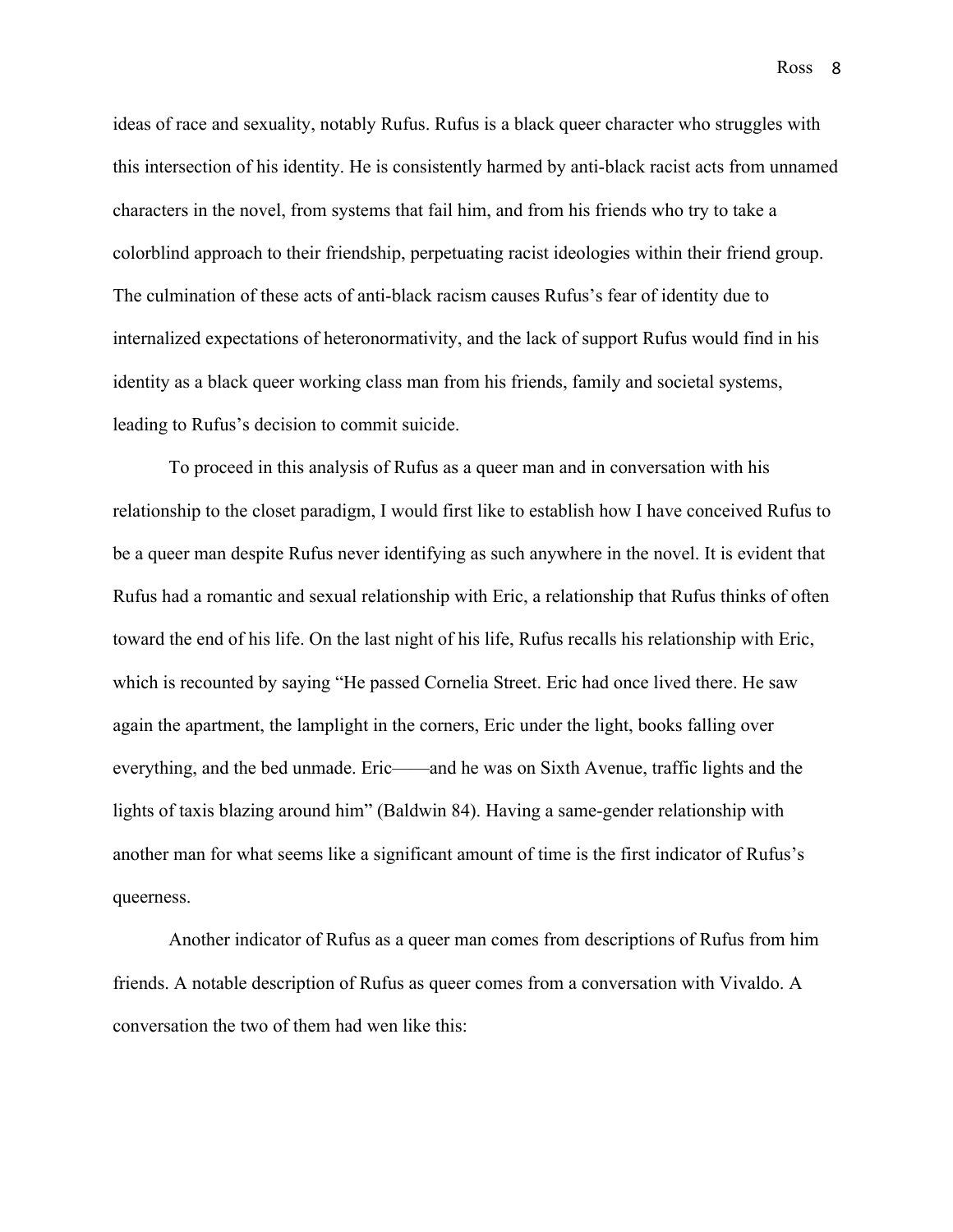ideas of race and sexuality, notably Rufus. Rufus is a black queer character who struggles with this intersection of his identity. He is consistently harmed by anti-black racist acts from unnamed characters in the novel, from systems that fail him, and from his friends who try to take a colorblind approach to their friendship, perpetuating racist ideologies within their friend group. The culmination of these acts of anti-black racism causes Rufus's fear of identity due to internalized expectations of heteronormativity, and the lack of support Rufus would find in his identity as a black queer working class man from his friends, family and societal systems, leading to Rufus's decision to commit suicide.

To proceed in this analysis of Rufus as a queer man and in conversation with his relationship to the closet paradigm, I would first like to establish how I have conceived Rufus to be a queer man despite Rufus never identifying as such anywhere in the novel. It is evident that Rufus had a romantic and sexual relationship with Eric, a relationship that Rufus thinks of often toward the end of his life. On the last night of his life, Rufus recalls his relationship with Eric, which is recounted by saying "He passed Cornelia Street. Eric had once lived there. He saw again the apartment, the lamplight in the corners, Eric under the light, books falling over everything, and the bed unmade. Eric——and he was on Sixth Avenue, traffic lights and the lights of taxis blazing around him" (Baldwin 84). Having a same-gender relationship with another man for what seems like a significant amount of time is the first indicator of Rufus's queerness.

Another indicator of Rufus as a queer man comes from descriptions of Rufus from him friends. A notable description of Rufus as queer comes from a conversation with Vivaldo. A conversation the two of them had wen like this:

Ross 8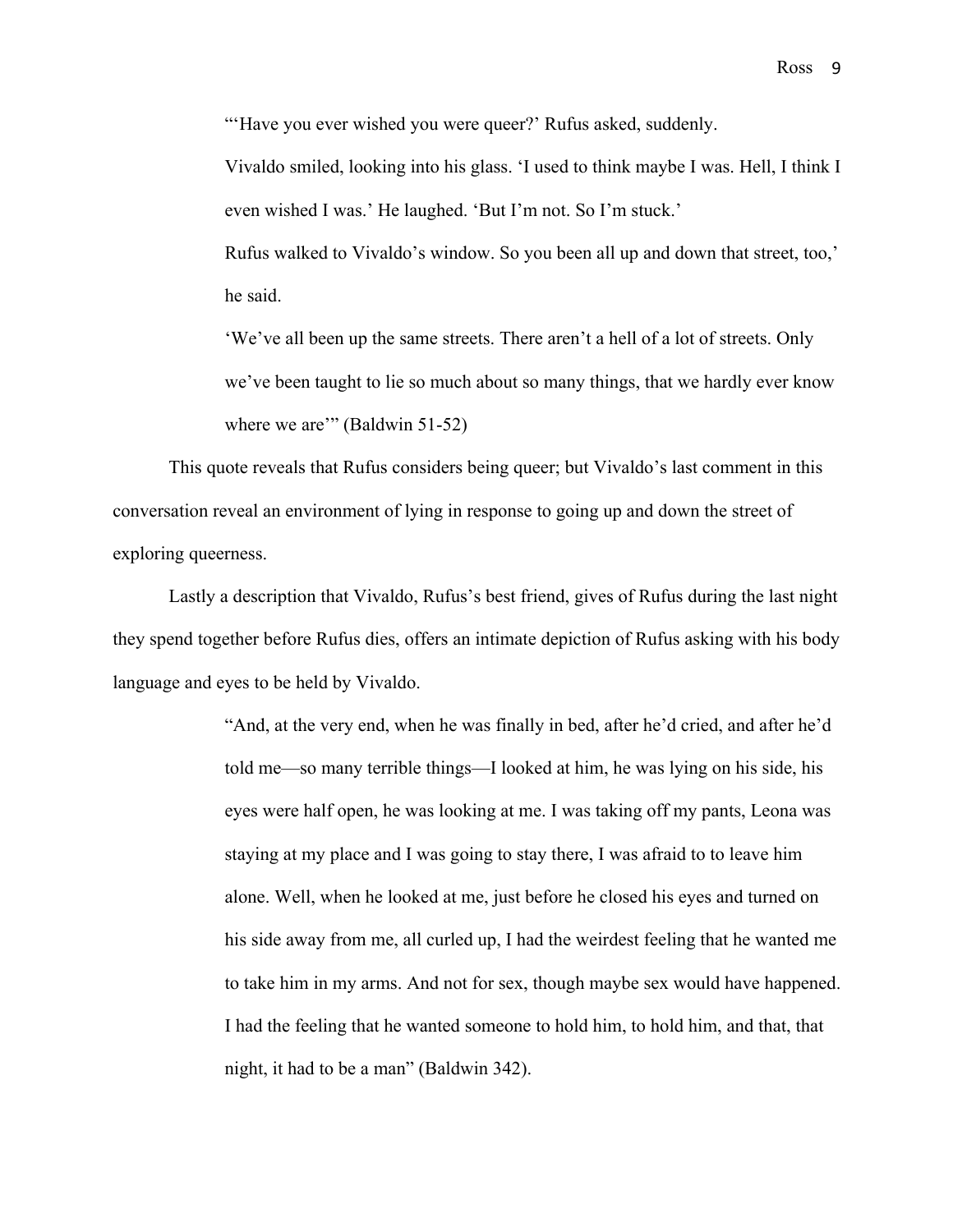"Have you ever wished you were queer?' Rufus asked, suddenly.

Vivaldo smiled, looking into his glass. 'I used to think maybe I was. Hell, I think I even wished I was.' He laughed. 'But I'm not. So I'm stuck.'

Rufus walked to Vivaldo's window. So you been all up and down that street, too,' he said.

'We've all been up the same streets. There aren't a hell of a lot of streets. Only we've been taught to lie so much about so many things, that we hardly ever know where we are" (Baldwin 51-52)

This quote reveals that Rufus considers being queer; but Vivaldo's last comment in this conversation reveal an environment of lying in response to going up and down the street of exploring queerness.

Lastly a description that Vivaldo, Rufus's best friend, gives of Rufus during the last night they spend together before Rufus dies, offers an intimate depiction of Rufus asking with his body language and eyes to be held by Vivaldo.

> "And, at the very end, when he was finally in bed, after he'd cried, and after he'd told me—so many terrible things—I looked at him, he was lying on his side, his eyes were half open, he was looking at me. I was taking off my pants, Leona was staying at my place and I was going to stay there, I was afraid to to leave him alone. Well, when he looked at me, just before he closed his eyes and turned on his side away from me, all curled up, I had the weirdest feeling that he wanted me to take him in my arms. And not for sex, though maybe sex would have happened. I had the feeling that he wanted someone to hold him, to hold him, and that, that night, it had to be a man" (Baldwin 342).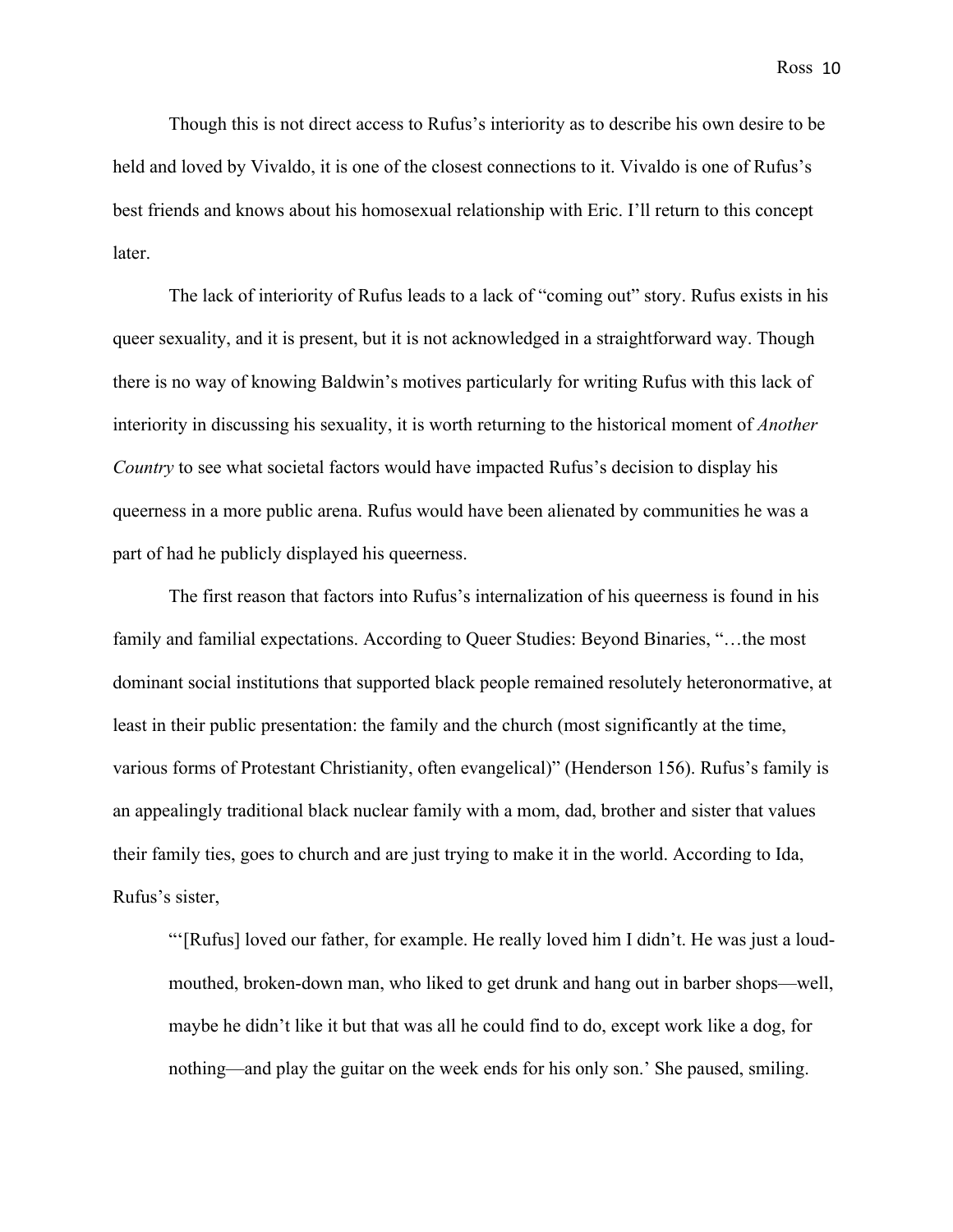Though this is not direct access to Rufus's interiority as to describe his own desire to be held and loved by Vivaldo, it is one of the closest connections to it. Vivaldo is one of Rufus's best friends and knows about his homosexual relationship with Eric. I'll return to this concept later.

The lack of interiority of Rufus leads to a lack of "coming out" story. Rufus exists in his queer sexuality, and it is present, but it is not acknowledged in a straightforward way. Though there is no way of knowing Baldwin's motives particularly for writing Rufus with this lack of interiority in discussing his sexuality, it is worth returning to the historical moment of *Another Country* to see what societal factors would have impacted Rufus's decision to display his queerness in a more public arena. Rufus would have been alienated by communities he was a part of had he publicly displayed his queerness.

The first reason that factors into Rufus's internalization of his queerness is found in his family and familial expectations. According to Queer Studies: Beyond Binaries, "…the most dominant social institutions that supported black people remained resolutely heteronormative, at least in their public presentation: the family and the church (most significantly at the time, various forms of Protestant Christianity, often evangelical)" (Henderson 156). Rufus's family is an appealingly traditional black nuclear family with a mom, dad, brother and sister that values their family ties, goes to church and are just trying to make it in the world. According to Ida, Rufus's sister,

"'[Rufus] loved our father, for example. He really loved him I didn't. He was just a loudmouthed, broken-down man, who liked to get drunk and hang out in barber shops—well, maybe he didn't like it but that was all he could find to do, except work like a dog, for nothing—and play the guitar on the week ends for his only son.' She paused, smiling.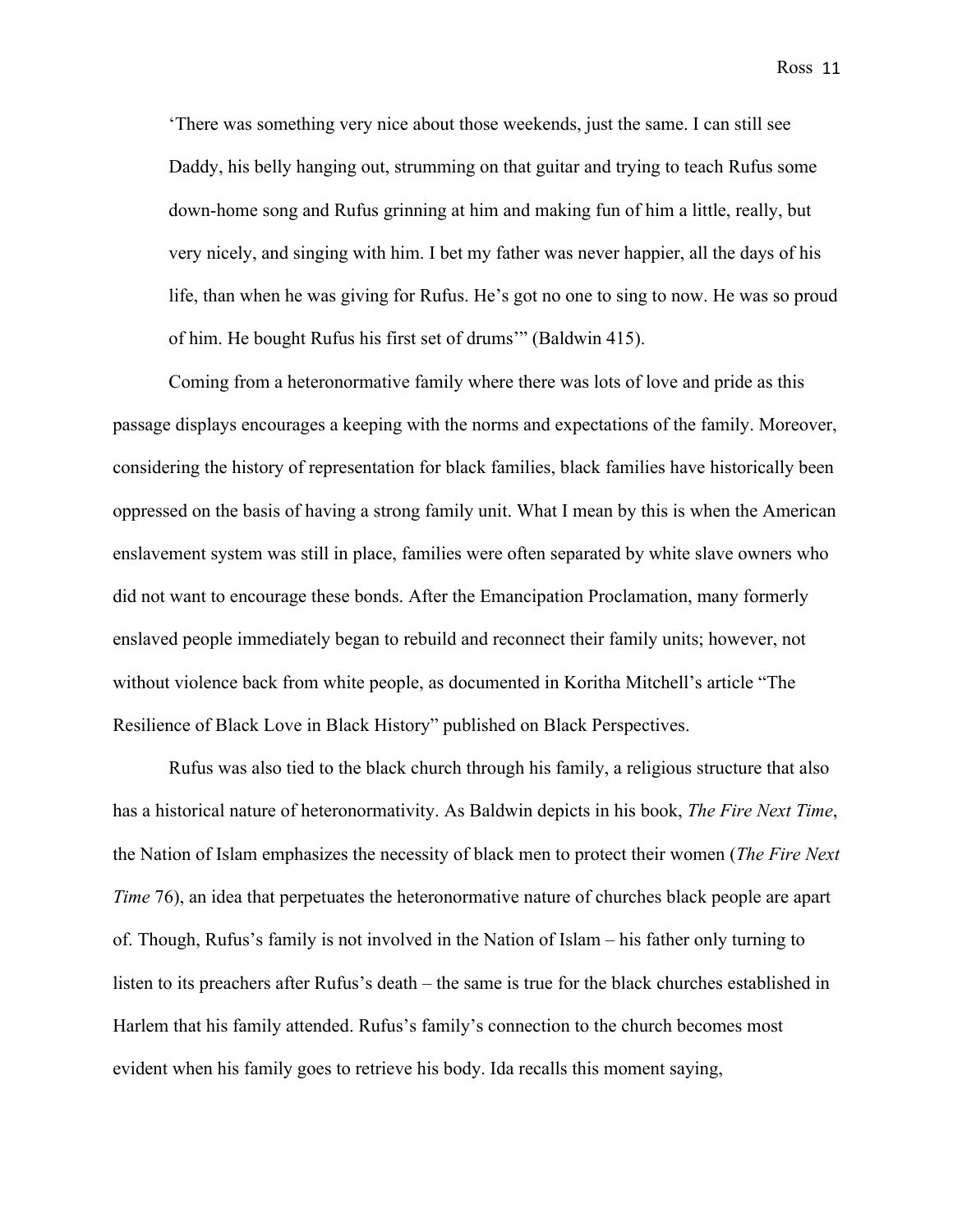'There was something very nice about those weekends, just the same. I can still see Daddy, his belly hanging out, strumming on that guitar and trying to teach Rufus some down-home song and Rufus grinning at him and making fun of him a little, really, but very nicely, and singing with him. I bet my father was never happier, all the days of his life, than when he was giving for Rufus. He's got no one to sing to now. He was so proud of him. He bought Rufus his first set of drums'" (Baldwin 415).

Coming from a heteronormative family where there was lots of love and pride as this passage displays encourages a keeping with the norms and expectations of the family. Moreover, considering the history of representation for black families, black families have historically been oppressed on the basis of having a strong family unit. What I mean by this is when the American enslavement system was still in place, families were often separated by white slave owners who did not want to encourage these bonds. After the Emancipation Proclamation, many formerly enslaved people immediately began to rebuild and reconnect their family units; however, not without violence back from white people, as documented in Koritha Mitchell's article "The Resilience of Black Love in Black History" published on Black Perspectives.

Rufus was also tied to the black church through his family, a religious structure that also has a historical nature of heteronormativity. As Baldwin depicts in his book, *The Fire Next Time*, the Nation of Islam emphasizes the necessity of black men to protect their women (*The Fire Next Time* 76), an idea that perpetuates the heteronormative nature of churches black people are apart of. Though, Rufus's family is not involved in the Nation of Islam – his father only turning to listen to its preachers after Rufus's death – the same is true for the black churches established in Harlem that his family attended. Rufus's family's connection to the church becomes most evident when his family goes to retrieve his body. Ida recalls this moment saying,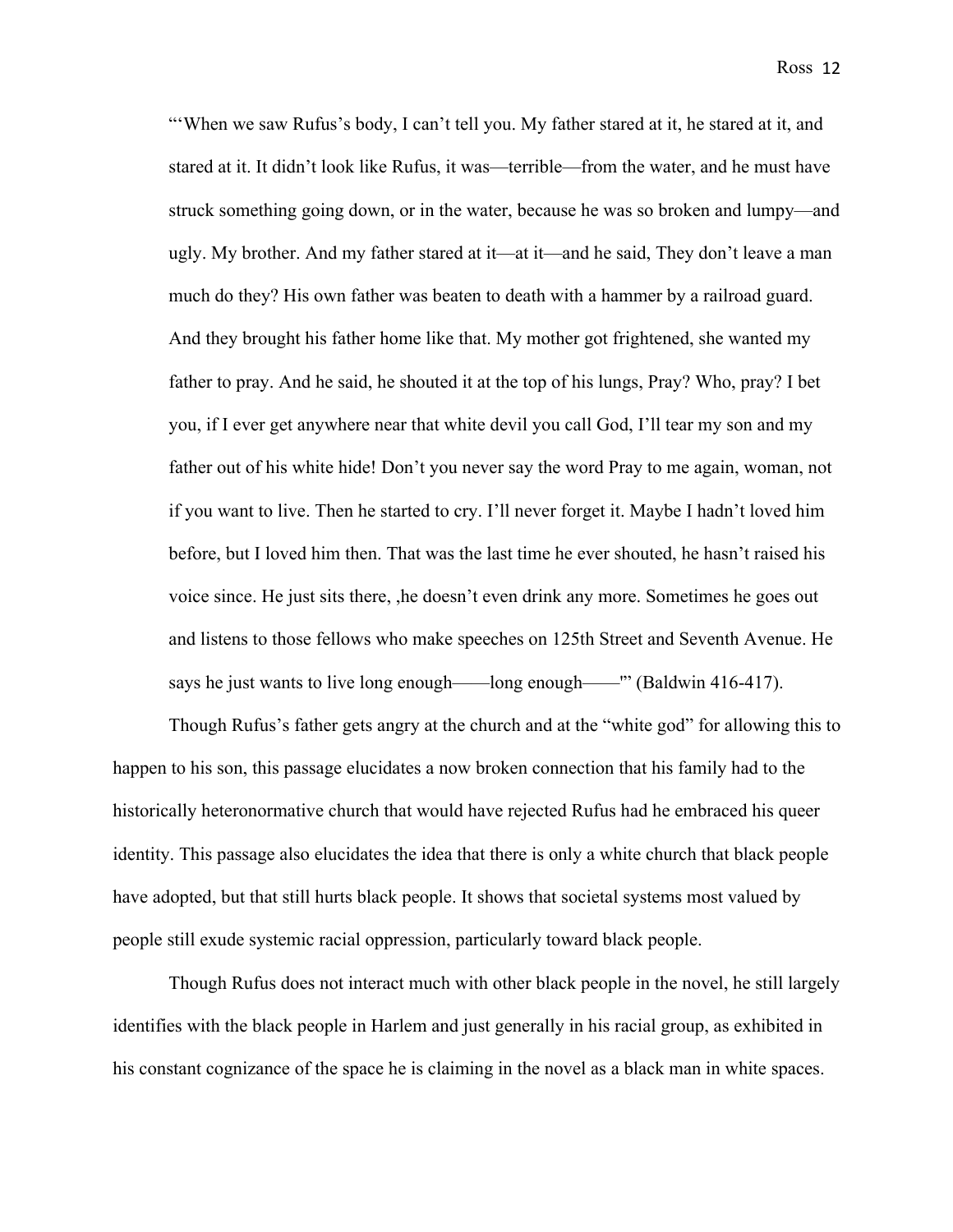"When we saw Rufus's body, I can't tell you. My father stared at it, he stared at it, and stared at it. It didn't look like Rufus, it was—terrible—from the water, and he must have struck something going down, or in the water, because he was so broken and lumpy—and ugly. My brother. And my father stared at it—at it—and he said, They don't leave a man much do they? His own father was beaten to death with a hammer by a railroad guard. And they brought his father home like that. My mother got frightened, she wanted my father to pray. And he said, he shouted it at the top of his lungs, Pray? Who, pray? I bet you, if I ever get anywhere near that white devil you call God, I'll tear my son and my father out of his white hide! Don't you never say the word Pray to me again, woman, not if you want to live. Then he started to cry. I'll never forget it. Maybe I hadn't loved him before, but I loved him then. That was the last time he ever shouted, he hasn't raised his voice since. He just sits there, ,he doesn't even drink any more. Sometimes he goes out and listens to those fellows who make speeches on 125th Street and Seventh Avenue. He says he just wants to live long enough——long enough—— $"$  (Baldwin 416-417).

Though Rufus's father gets angry at the church and at the "white god" for allowing this to happen to his son, this passage elucidates a now broken connection that his family had to the historically heteronormative church that would have rejected Rufus had he embraced his queer identity. This passage also elucidates the idea that there is only a white church that black people have adopted, but that still hurts black people. It shows that societal systems most valued by people still exude systemic racial oppression, particularly toward black people.

Though Rufus does not interact much with other black people in the novel, he still largely identifies with the black people in Harlem and just generally in his racial group, as exhibited in his constant cognizance of the space he is claiming in the novel as a black man in white spaces.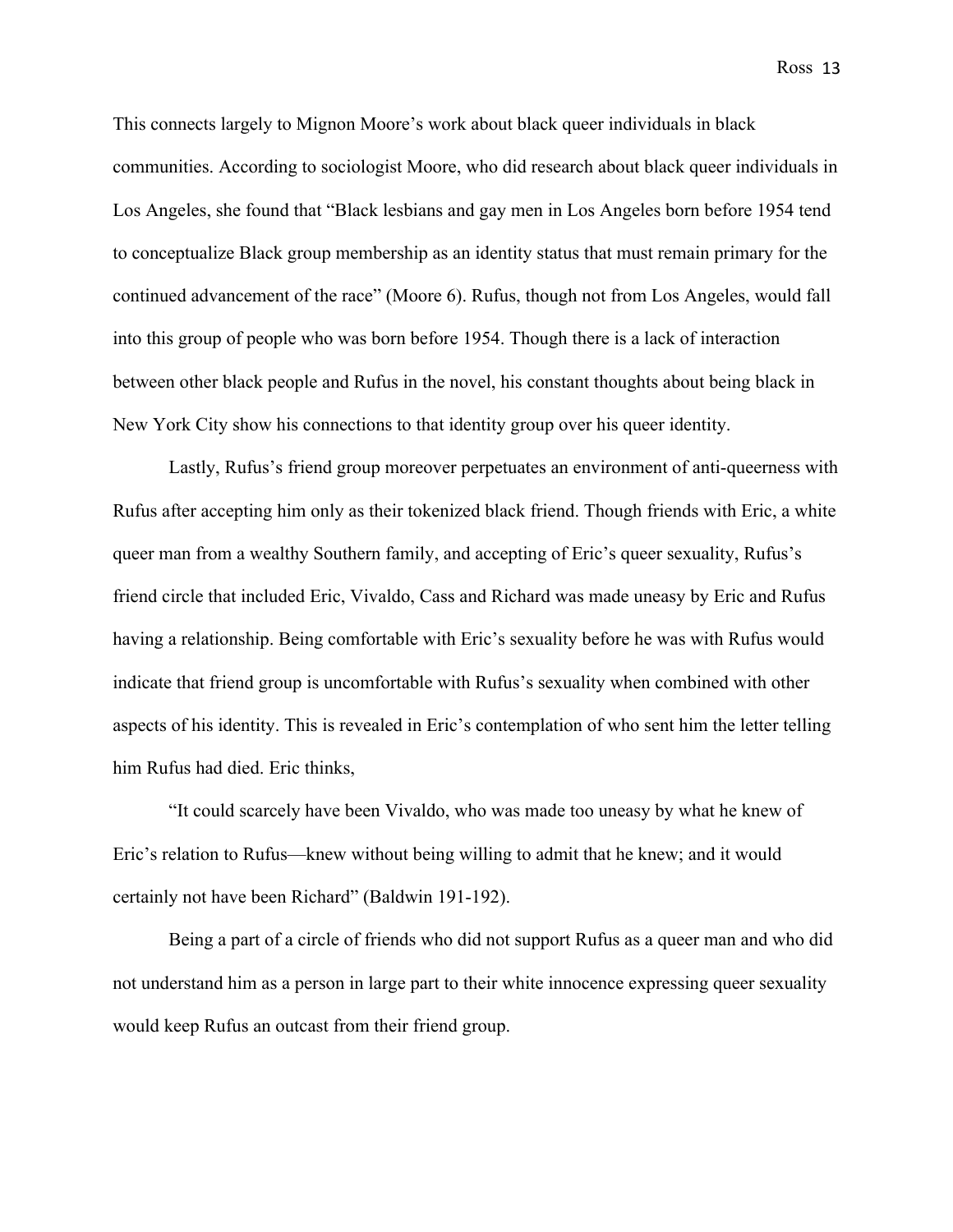This connects largely to Mignon Moore's work about black queer individuals in black communities. According to sociologist Moore, who did research about black queer individuals in Los Angeles, she found that "Black lesbians and gay men in Los Angeles born before 1954 tend to conceptualize Black group membership as an identity status that must remain primary for the continued advancement of the race" (Moore 6). Rufus, though not from Los Angeles, would fall into this group of people who was born before 1954. Though there is a lack of interaction between other black people and Rufus in the novel, his constant thoughts about being black in New York City show his connections to that identity group over his queer identity.

Lastly, Rufus's friend group moreover perpetuates an environment of anti-queerness with Rufus after accepting him only as their tokenized black friend. Though friends with Eric, a white queer man from a wealthy Southern family, and accepting of Eric's queer sexuality, Rufus's friend circle that included Eric, Vivaldo, Cass and Richard was made uneasy by Eric and Rufus having a relationship. Being comfortable with Eric's sexuality before he was with Rufus would indicate that friend group is uncomfortable with Rufus's sexuality when combined with other aspects of his identity. This is revealed in Eric's contemplation of who sent him the letter telling him Rufus had died. Eric thinks,

"It could scarcely have been Vivaldo, who was made too uneasy by what he knew of Eric's relation to Rufus—knew without being willing to admit that he knew; and it would certainly not have been Richard" (Baldwin 191-192).

Being a part of a circle of friends who did not support Rufus as a queer man and who did not understand him as a person in large part to their white innocence expressing queer sexuality would keep Rufus an outcast from their friend group.

Ross 13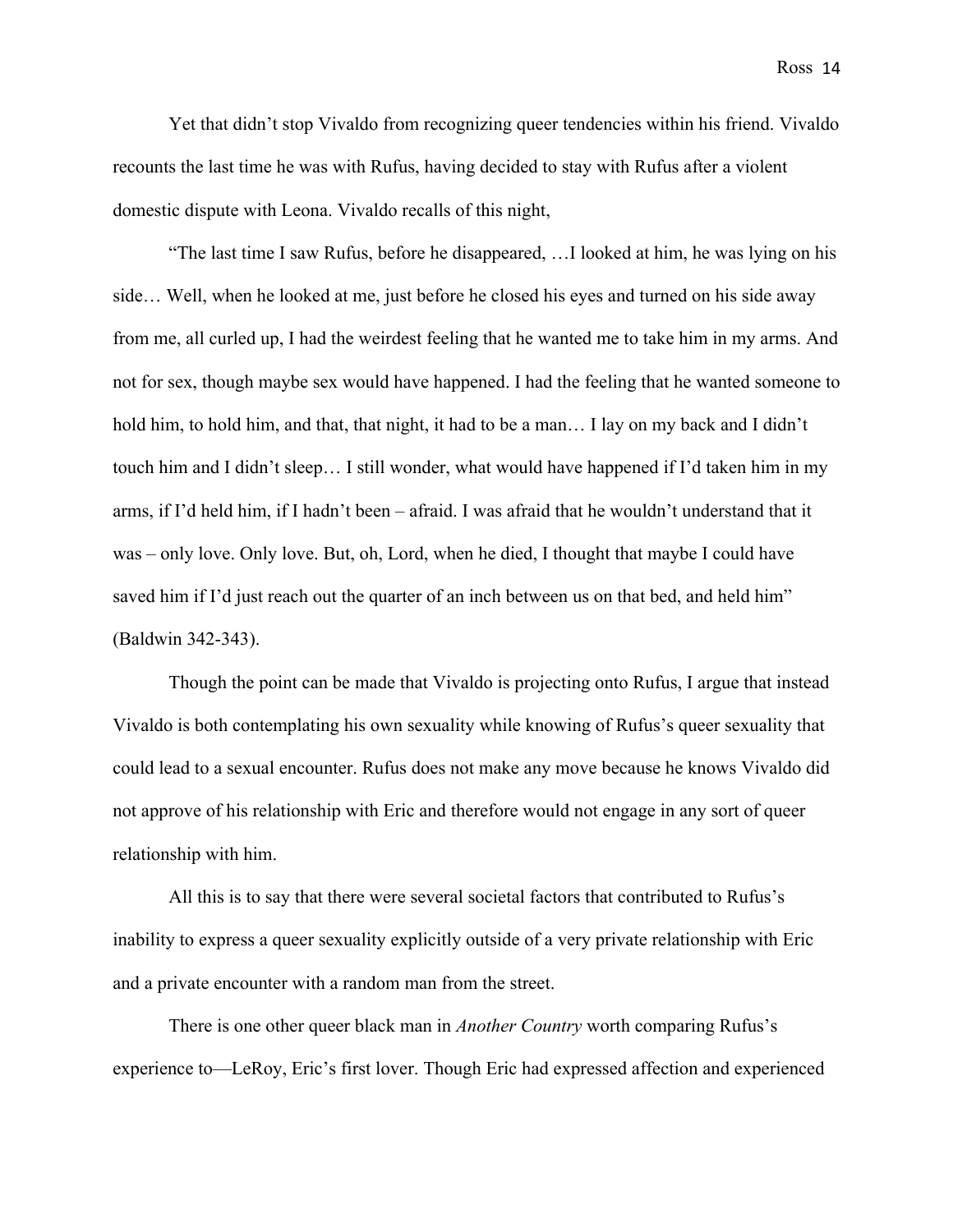Yet that didn't stop Vivaldo from recognizing queer tendencies within his friend. Vivaldo recounts the last time he was with Rufus, having decided to stay with Rufus after a violent domestic dispute with Leona. Vivaldo recalls of this night,

"The last time I saw Rufus, before he disappeared, …I looked at him, he was lying on his side… Well, when he looked at me, just before he closed his eyes and turned on his side away from me, all curled up, I had the weirdest feeling that he wanted me to take him in my arms. And not for sex, though maybe sex would have happened. I had the feeling that he wanted someone to hold him, to hold him, and that, that night, it had to be a man... I lay on my back and I didn't touch him and I didn't sleep… I still wonder, what would have happened if I'd taken him in my arms, if I'd held him, if I hadn't been – afraid. I was afraid that he wouldn't understand that it was – only love. Only love. But, oh, Lord, when he died, I thought that maybe I could have saved him if I'd just reach out the quarter of an inch between us on that bed, and held him" (Baldwin 342-343).

Though the point can be made that Vivaldo is projecting onto Rufus, I argue that instead Vivaldo is both contemplating his own sexuality while knowing of Rufus's queer sexuality that could lead to a sexual encounter. Rufus does not make any move because he knows Vivaldo did not approve of his relationship with Eric and therefore would not engage in any sort of queer relationship with him.

All this is to say that there were several societal factors that contributed to Rufus's inability to express a queer sexuality explicitly outside of a very private relationship with Eric and a private encounter with a random man from the street.

There is one other queer black man in *Another Country* worth comparing Rufus's experience to—LeRoy, Eric's first lover. Though Eric had expressed affection and experienced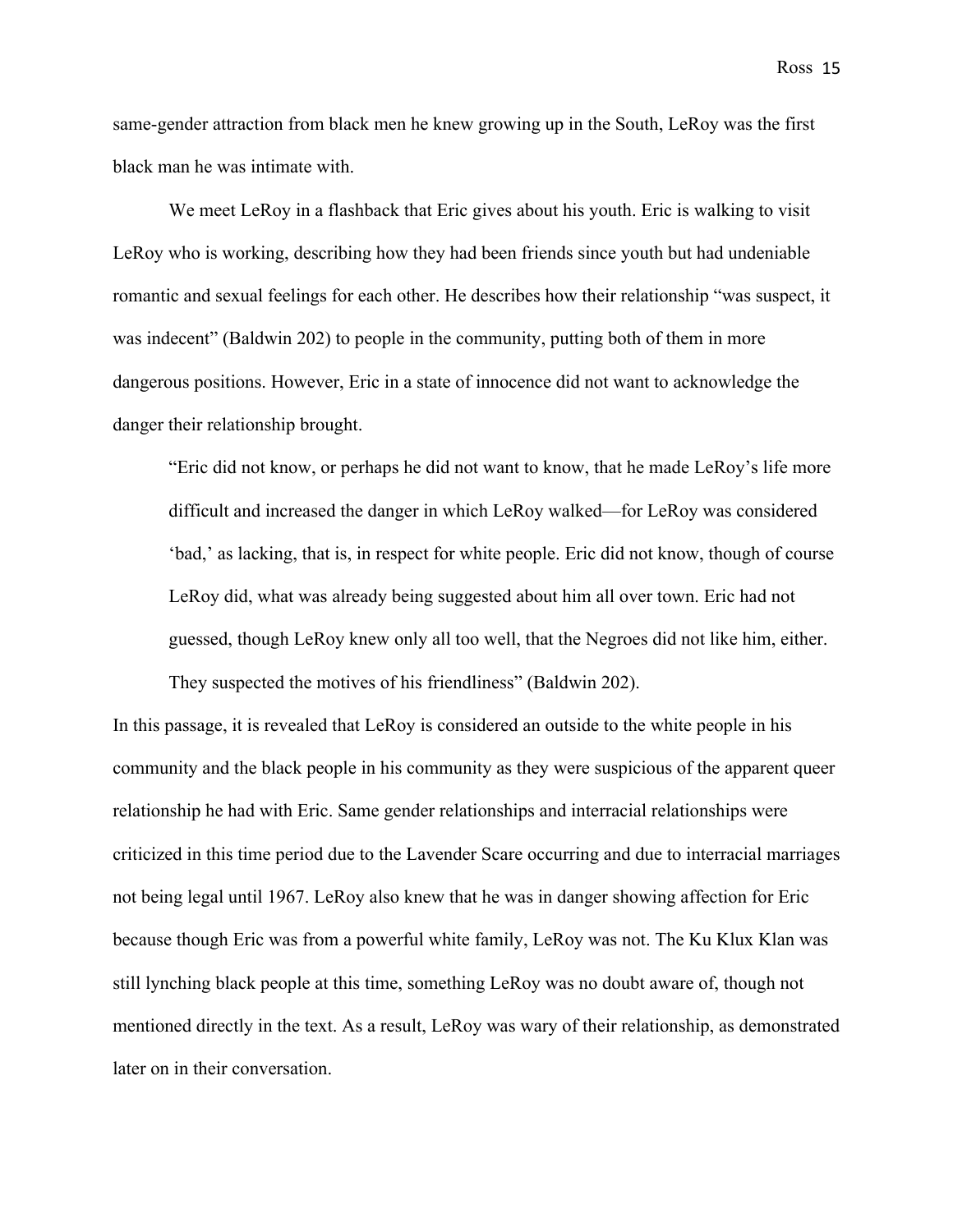same-gender attraction from black men he knew growing up in the South, LeRoy was the first black man he was intimate with.

We meet LeRoy in a flashback that Eric gives about his youth. Eric is walking to visit LeRoy who is working, describing how they had been friends since youth but had undeniable romantic and sexual feelings for each other. He describes how their relationship "was suspect, it was indecent" (Baldwin 202) to people in the community, putting both of them in more dangerous positions. However, Eric in a state of innocence did not want to acknowledge the danger their relationship brought.

"Eric did not know, or perhaps he did not want to know, that he made LeRoy's life more difficult and increased the danger in which LeRoy walked—for LeRoy was considered 'bad,' as lacking, that is, in respect for white people. Eric did not know, though of course LeRoy did, what was already being suggested about him all over town. Eric had not guessed, though LeRoy knew only all too well, that the Negroes did not like him, either. They suspected the motives of his friendliness" (Baldwin 202).

In this passage, it is revealed that LeRoy is considered an outside to the white people in his community and the black people in his community as they were suspicious of the apparent queer relationship he had with Eric. Same gender relationships and interracial relationships were criticized in this time period due to the Lavender Scare occurring and due to interracial marriages not being legal until 1967. LeRoy also knew that he was in danger showing affection for Eric because though Eric was from a powerful white family, LeRoy was not. The Ku Klux Klan was still lynching black people at this time, something LeRoy was no doubt aware of, though not mentioned directly in the text. As a result, LeRoy was wary of their relationship, as demonstrated later on in their conversation.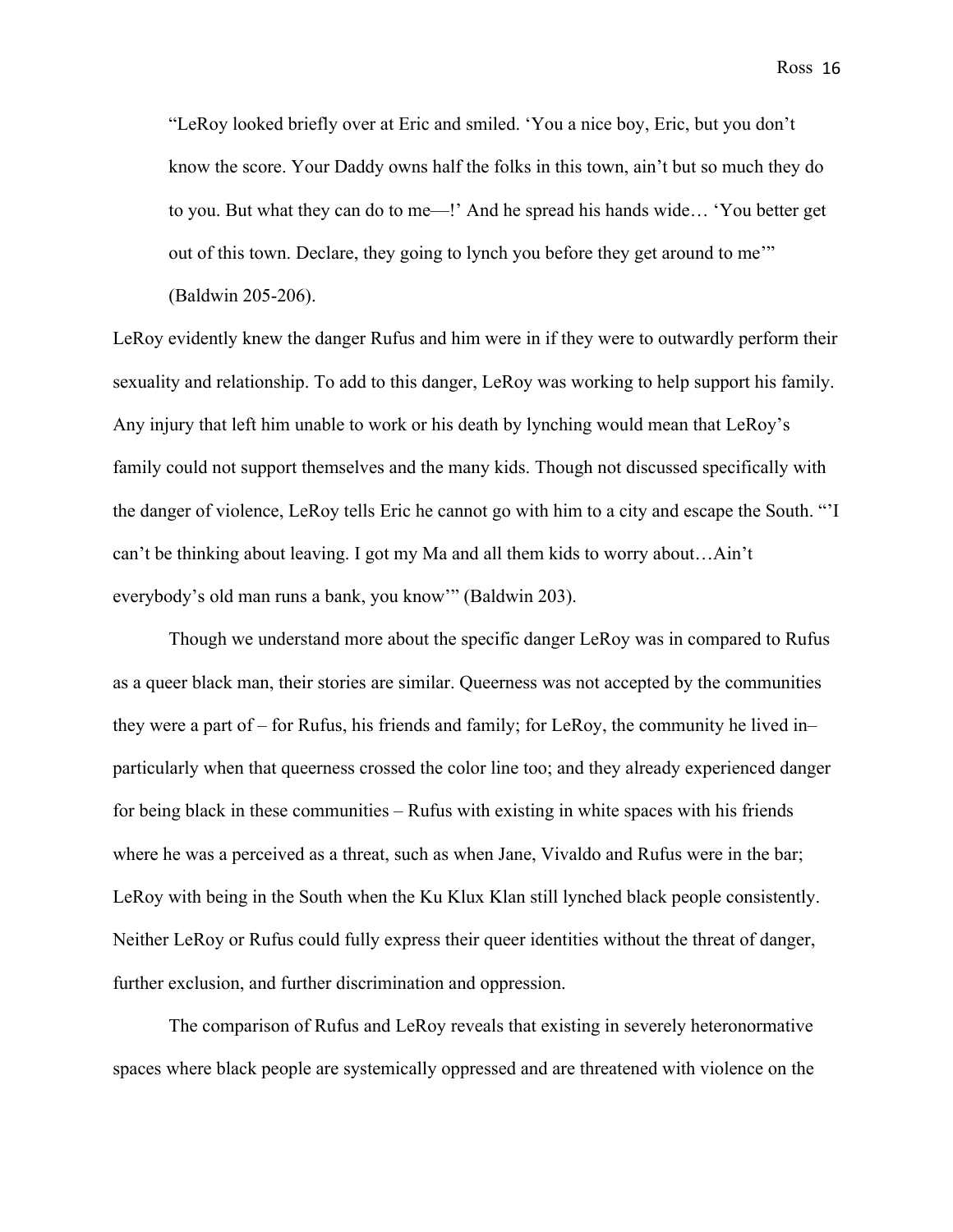"LeRoy looked briefly over at Eric and smiled. 'You a nice boy, Eric, but you don't know the score. Your Daddy owns half the folks in this town, ain't but so much they do to you. But what they can do to me—!' And he spread his hands wide… 'You better get out of this town. Declare, they going to lynch you before they get around to me'" (Baldwin 205-206).

LeRoy evidently knew the danger Rufus and him were in if they were to outwardly perform their sexuality and relationship. To add to this danger, LeRoy was working to help support his family. Any injury that left him unable to work or his death by lynching would mean that LeRoy's family could not support themselves and the many kids. Though not discussed specifically with the danger of violence, LeRoy tells Eric he cannot go with him to a city and escape the South. "'I can't be thinking about leaving. I got my Ma and all them kids to worry about…Ain't everybody's old man runs a bank, you know'" (Baldwin 203).

Though we understand more about the specific danger LeRoy was in compared to Rufus as a queer black man, their stories are similar. Queerness was not accepted by the communities they were a part of – for Rufus, his friends and family; for LeRoy, the community he lived in– particularly when that queerness crossed the color line too; and they already experienced danger for being black in these communities – Rufus with existing in white spaces with his friends where he was a perceived as a threat, such as when Jane, Vivaldo and Rufus were in the bar; LeRoy with being in the South when the Ku Klux Klan still lynched black people consistently. Neither LeRoy or Rufus could fully express their queer identities without the threat of danger, further exclusion, and further discrimination and oppression.

The comparison of Rufus and LeRoy reveals that existing in severely heteronormative spaces where black people are systemically oppressed and are threatened with violence on the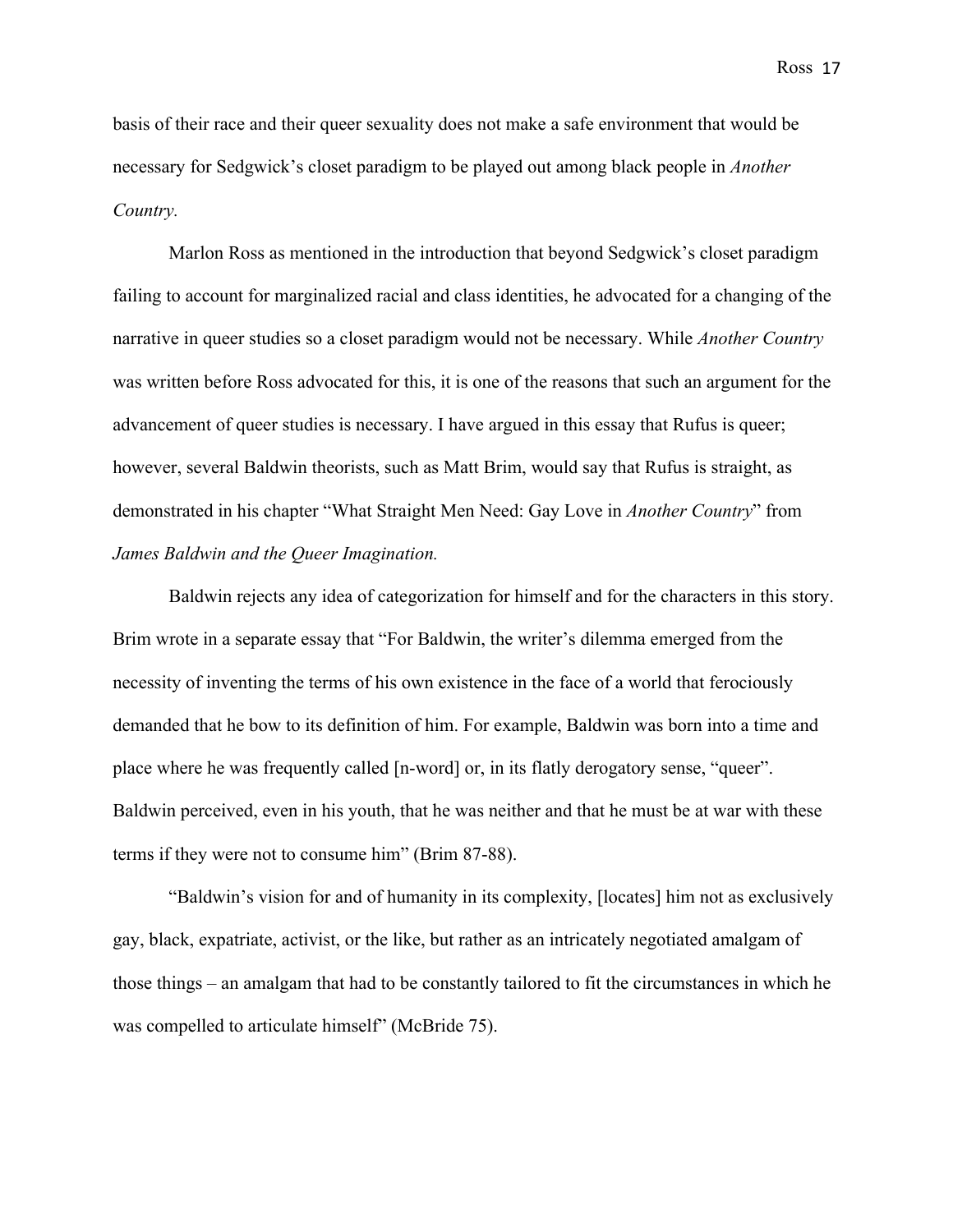basis of their race and their queer sexuality does not make a safe environment that would be necessary for Sedgwick's closet paradigm to be played out among black people in *Another Country.*

Marlon Ross as mentioned in the introduction that beyond Sedgwick's closet paradigm failing to account for marginalized racial and class identities, he advocated for a changing of the narrative in queer studies so a closet paradigm would not be necessary. While *Another Country* was written before Ross advocated for this, it is one of the reasons that such an argument for the advancement of queer studies is necessary. I have argued in this essay that Rufus is queer; however, several Baldwin theorists, such as Matt Brim, would say that Rufus is straight, as demonstrated in his chapter "What Straight Men Need: Gay Love in *Another Country*" from *James Baldwin and the Queer Imagination.*

Baldwin rejects any idea of categorization for himself and for the characters in this story. Brim wrote in a separate essay that "For Baldwin, the writer's dilemma emerged from the necessity of inventing the terms of his own existence in the face of a world that ferociously demanded that he bow to its definition of him. For example, Baldwin was born into a time and place where he was frequently called [n-word] or, in its flatly derogatory sense, "queer". Baldwin perceived, even in his youth, that he was neither and that he must be at war with these terms if they were not to consume him" (Brim 87-88).

"Baldwin's vision for and of humanity in its complexity, [locates] him not as exclusively gay, black, expatriate, activist, or the like, but rather as an intricately negotiated amalgam of those things – an amalgam that had to be constantly tailored to fit the circumstances in which he was compelled to articulate himself" (McBride 75).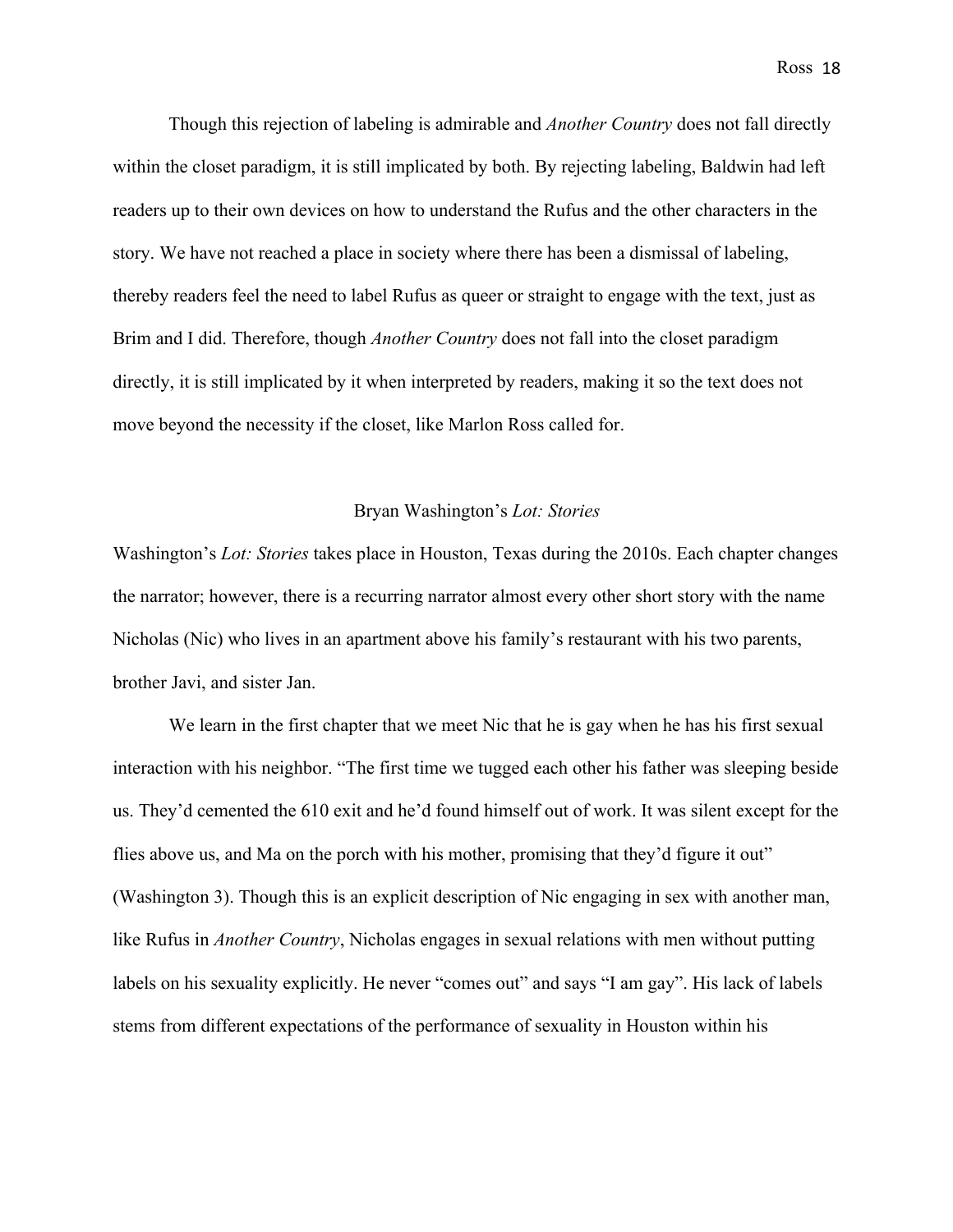Though this rejection of labeling is admirable and *Another Country* does not fall directly within the closet paradigm, it is still implicated by both. By rejecting labeling, Baldwin had left readers up to their own devices on how to understand the Rufus and the other characters in the story. We have not reached a place in society where there has been a dismissal of labeling, thereby readers feel the need to label Rufus as queer or straight to engage with the text, just as Brim and I did. Therefore, though *Another Country* does not fall into the closet paradigm directly, it is still implicated by it when interpreted by readers, making it so the text does not move beyond the necessity if the closet, like Marlon Ross called for.

### Bryan Washington's *Lot: Stories*

Washington's *Lot: Stories* takes place in Houston, Texas during the 2010s. Each chapter changes the narrator; however, there is a recurring narrator almost every other short story with the name Nicholas (Nic) who lives in an apartment above his family's restaurant with his two parents, brother Javi, and sister Jan.

We learn in the first chapter that we meet Nic that he is gay when he has his first sexual interaction with his neighbor. "The first time we tugged each other his father was sleeping beside us. They'd cemented the 610 exit and he'd found himself out of work. It was silent except for the flies above us, and Ma on the porch with his mother, promising that they'd figure it out" (Washington 3). Though this is an explicit description of Nic engaging in sex with another man, like Rufus in *Another Country*, Nicholas engages in sexual relations with men without putting labels on his sexuality explicitly. He never "comes out" and says "I am gay". His lack of labels stems from different expectations of the performance of sexuality in Houston within his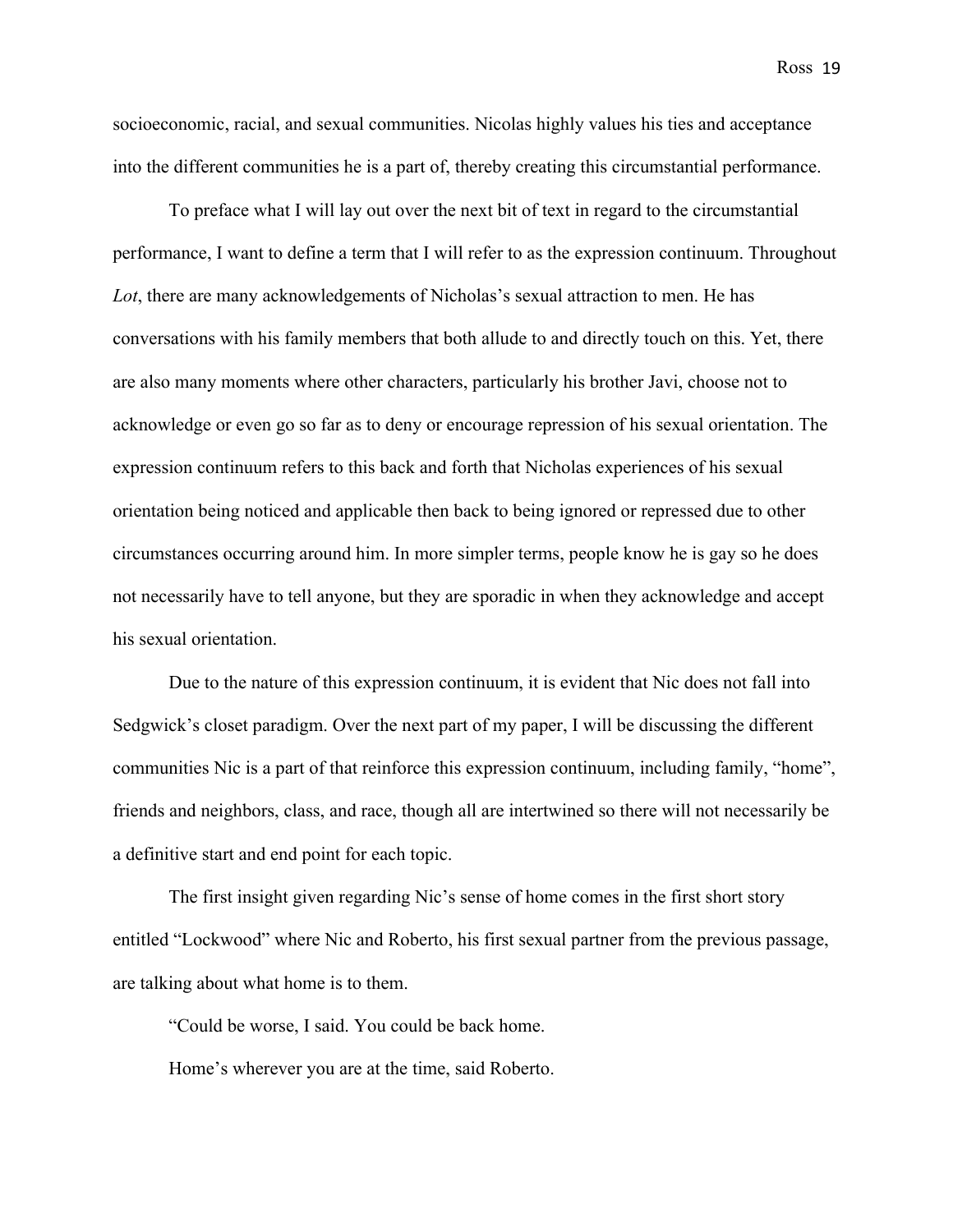socioeconomic, racial, and sexual communities. Nicolas highly values his ties and acceptance into the different communities he is a part of, thereby creating this circumstantial performance.

To preface what I will lay out over the next bit of text in regard to the circumstantial performance, I want to define a term that I will refer to as the expression continuum. Throughout *Lot*, there are many acknowledgements of Nicholas's sexual attraction to men. He has conversations with his family members that both allude to and directly touch on this. Yet, there are also many moments where other characters, particularly his brother Javi, choose not to acknowledge or even go so far as to deny or encourage repression of his sexual orientation. The expression continuum refers to this back and forth that Nicholas experiences of his sexual orientation being noticed and applicable then back to being ignored or repressed due to other circumstances occurring around him. In more simpler terms, people know he is gay so he does not necessarily have to tell anyone, but they are sporadic in when they acknowledge and accept his sexual orientation.

Due to the nature of this expression continuum, it is evident that Nic does not fall into Sedgwick's closet paradigm. Over the next part of my paper, I will be discussing the different communities Nic is a part of that reinforce this expression continuum, including family, "home", friends and neighbors, class, and race, though all are intertwined so there will not necessarily be a definitive start and end point for each topic.

The first insight given regarding Nic's sense of home comes in the first short story entitled "Lockwood" where Nic and Roberto, his first sexual partner from the previous passage, are talking about what home is to them.

"Could be worse, I said. You could be back home.

Home's wherever you are at the time, said Roberto.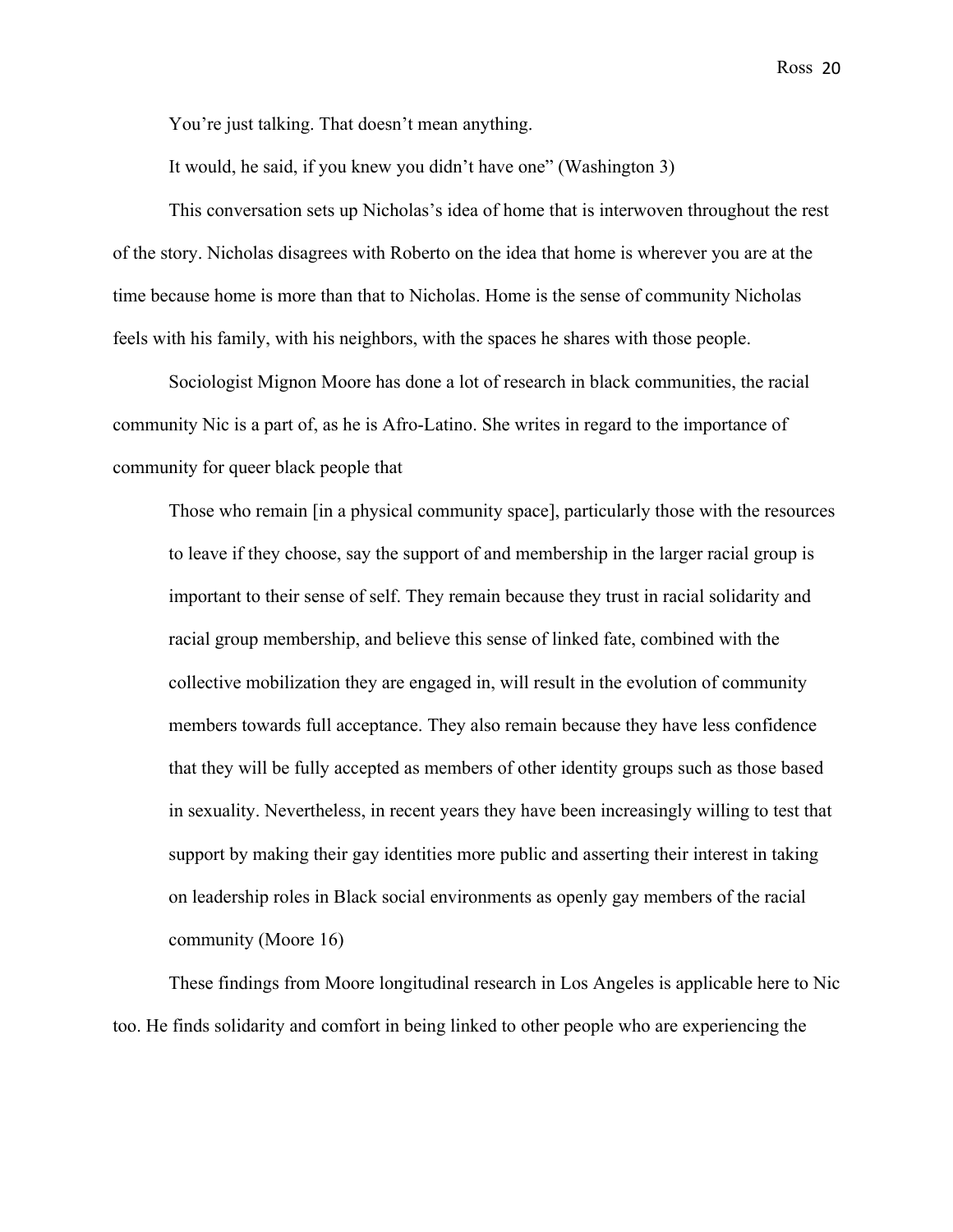You're just talking. That doesn't mean anything.

It would, he said, if you knew you didn't have one" (Washington 3)

This conversation sets up Nicholas's idea of home that is interwoven throughout the rest of the story. Nicholas disagrees with Roberto on the idea that home is wherever you are at the time because home is more than that to Nicholas. Home is the sense of community Nicholas feels with his family, with his neighbors, with the spaces he shares with those people.

Sociologist Mignon Moore has done a lot of research in black communities, the racial community Nic is a part of, as he is Afro-Latino. She writes in regard to the importance of community for queer black people that

Those who remain [in a physical community space], particularly those with the resources to leave if they choose, say the support of and membership in the larger racial group is important to their sense of self. They remain because they trust in racial solidarity and racial group membership, and believe this sense of linked fate, combined with the collective mobilization they are engaged in, will result in the evolution of community members towards full acceptance. They also remain because they have less confidence that they will be fully accepted as members of other identity groups such as those based in sexuality. Nevertheless, in recent years they have been increasingly willing to test that support by making their gay identities more public and asserting their interest in taking on leadership roles in Black social environments as openly gay members of the racial community (Moore 16)

These findings from Moore longitudinal research in Los Angeles is applicable here to Nic too. He finds solidarity and comfort in being linked to other people who are experiencing the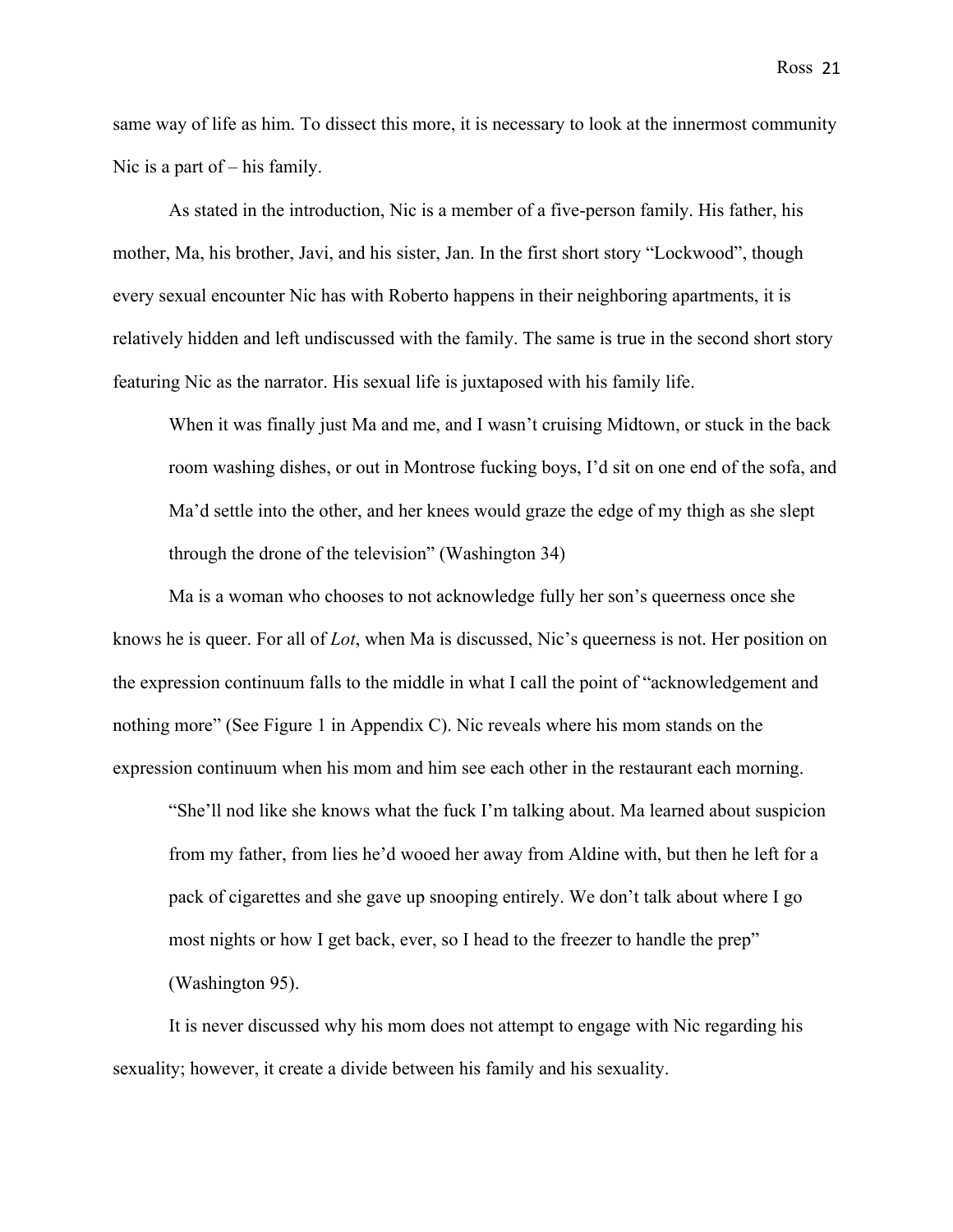same way of life as him. To dissect this more, it is necessary to look at the innermost community Nic is a part of – his family.

As stated in the introduction, Nic is a member of a five-person family. His father, his mother, Ma, his brother, Javi, and his sister, Jan. In the first short story "Lockwood", though every sexual encounter Nic has with Roberto happens in their neighboring apartments, it is relatively hidden and left undiscussed with the family. The same is true in the second short story featuring Nic as the narrator. His sexual life is juxtaposed with his family life.

When it was finally just Ma and me, and I wasn't cruising Midtown, or stuck in the back room washing dishes, or out in Montrose fucking boys, I'd sit on one end of the sofa, and Ma'd settle into the other, and her knees would graze the edge of my thigh as she slept through the drone of the television" (Washington 34)

Ma is a woman who chooses to not acknowledge fully her son's queerness once she knows he is queer. For all of *Lot*, when Ma is discussed, Nic's queerness is not. Her position on the expression continuum falls to the middle in what I call the point of "acknowledgement and nothing more" (See Figure 1 in Appendix C). Nic reveals where his mom stands on the expression continuum when his mom and him see each other in the restaurant each morning.

"She'll nod like she knows what the fuck I'm talking about. Ma learned about suspicion from my father, from lies he'd wooed her away from Aldine with, but then he left for a pack of cigarettes and she gave up snooping entirely. We don't talk about where I go most nights or how I get back, ever, so I head to the freezer to handle the prep" (Washington 95).

It is never discussed why his mom does not attempt to engage with Nic regarding his sexuality; however, it create a divide between his family and his sexuality.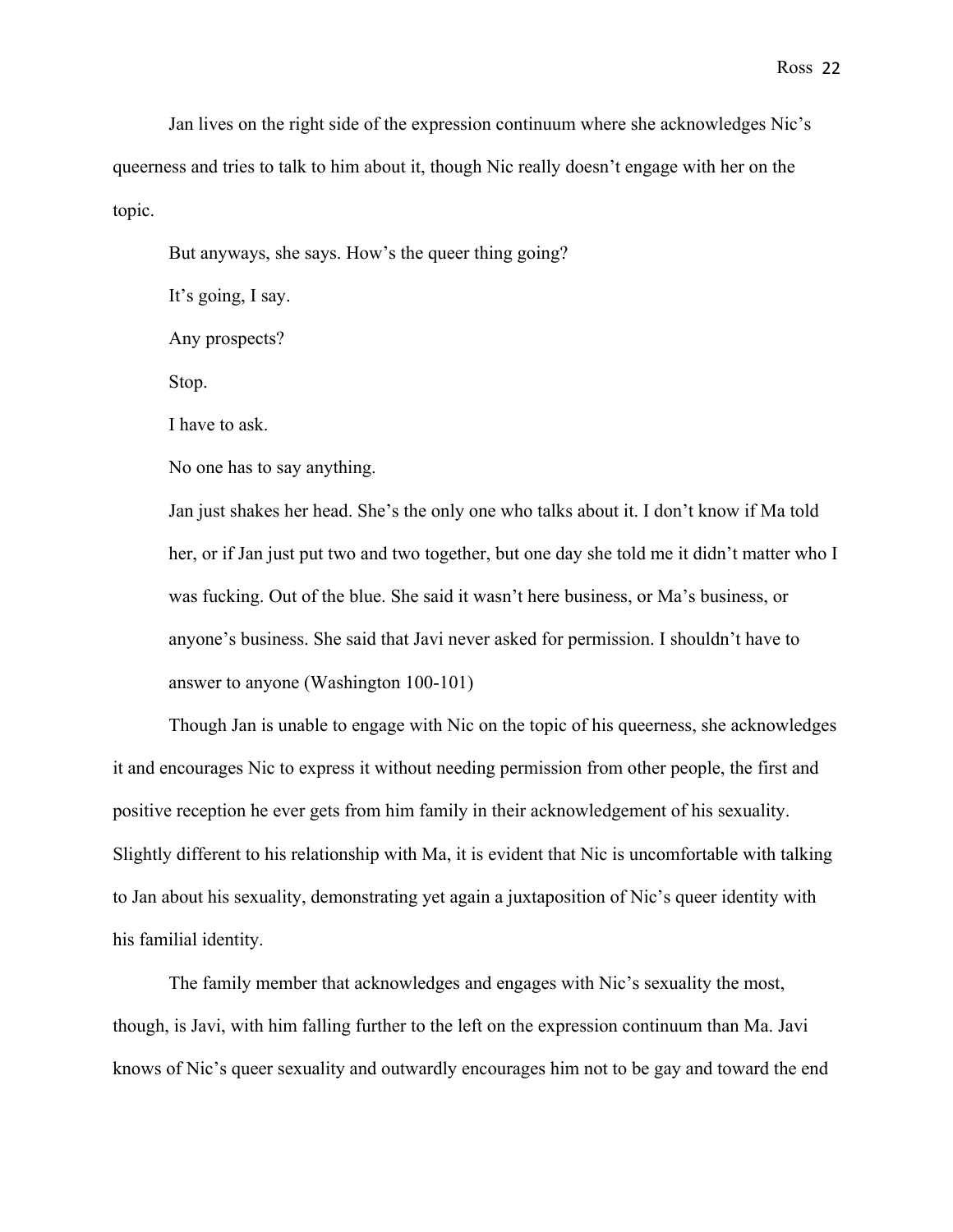Jan lives on the right side of the expression continuum where she acknowledges Nic's queerness and tries to talk to him about it, though Nic really doesn't engage with her on the topic.

But anyways, she says. How's the queer thing going?

It's going, I say.

Any prospects?

Stop.

I have to ask.

No one has to say anything.

Jan just shakes her head. She's the only one who talks about it. I don't know if Ma told her, or if Jan just put two and two together, but one day she told me it didn't matter who I was fucking. Out of the blue. She said it wasn't here business, or Ma's business, or anyone's business. She said that Javi never asked for permission. I shouldn't have to answer to anyone (Washington 100-101)

Though Jan is unable to engage with Nic on the topic of his queerness, she acknowledges it and encourages Nic to express it without needing permission from other people, the first and positive reception he ever gets from him family in their acknowledgement of his sexuality. Slightly different to his relationship with Ma, it is evident that Nic is uncomfortable with talking to Jan about his sexuality, demonstrating yet again a juxtaposition of Nic's queer identity with his familial identity.

The family member that acknowledges and engages with Nic's sexuality the most, though, is Javi, with him falling further to the left on the expression continuum than Ma. Javi knows of Nic's queer sexuality and outwardly encourages him not to be gay and toward the end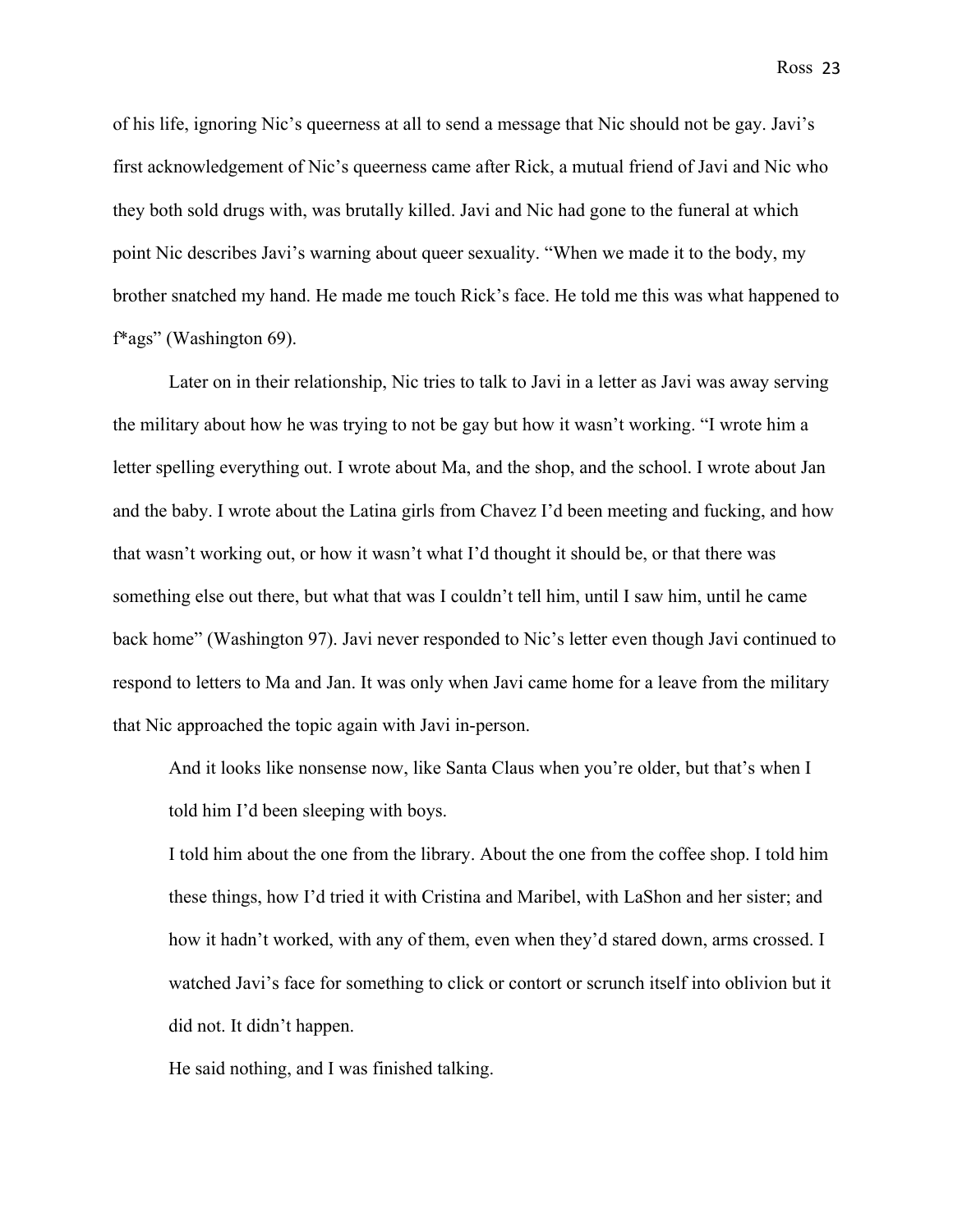of his life, ignoring Nic's queerness at all to send a message that Nic should not be gay. Javi's first acknowledgement of Nic's queerness came after Rick, a mutual friend of Javi and Nic who they both sold drugs with, was brutally killed. Javi and Nic had gone to the funeral at which point Nic describes Javi's warning about queer sexuality. "When we made it to the body, my brother snatched my hand. He made me touch Rick's face. He told me this was what happened to f\*ags" (Washington 69).

Later on in their relationship, Nic tries to talk to Javi in a letter as Javi was away serving the military about how he was trying to not be gay but how it wasn't working. "I wrote him a letter spelling everything out. I wrote about Ma, and the shop, and the school. I wrote about Jan and the baby. I wrote about the Latina girls from Chavez I'd been meeting and fucking, and how that wasn't working out, or how it wasn't what I'd thought it should be, or that there was something else out there, but what that was I couldn't tell him, until I saw him, until he came back home" (Washington 97). Javi never responded to Nic's letter even though Javi continued to respond to letters to Ma and Jan. It was only when Javi came home for a leave from the military that Nic approached the topic again with Javi in-person.

And it looks like nonsense now, like Santa Claus when you're older, but that's when I told him I'd been sleeping with boys.

I told him about the one from the library. About the one from the coffee shop. I told him these things, how I'd tried it with Cristina and Maribel, with LaShon and her sister; and how it hadn't worked, with any of them, even when they'd stared down, arms crossed. I watched Javi's face for something to click or contort or scrunch itself into oblivion but it did not. It didn't happen.

He said nothing, and I was finished talking.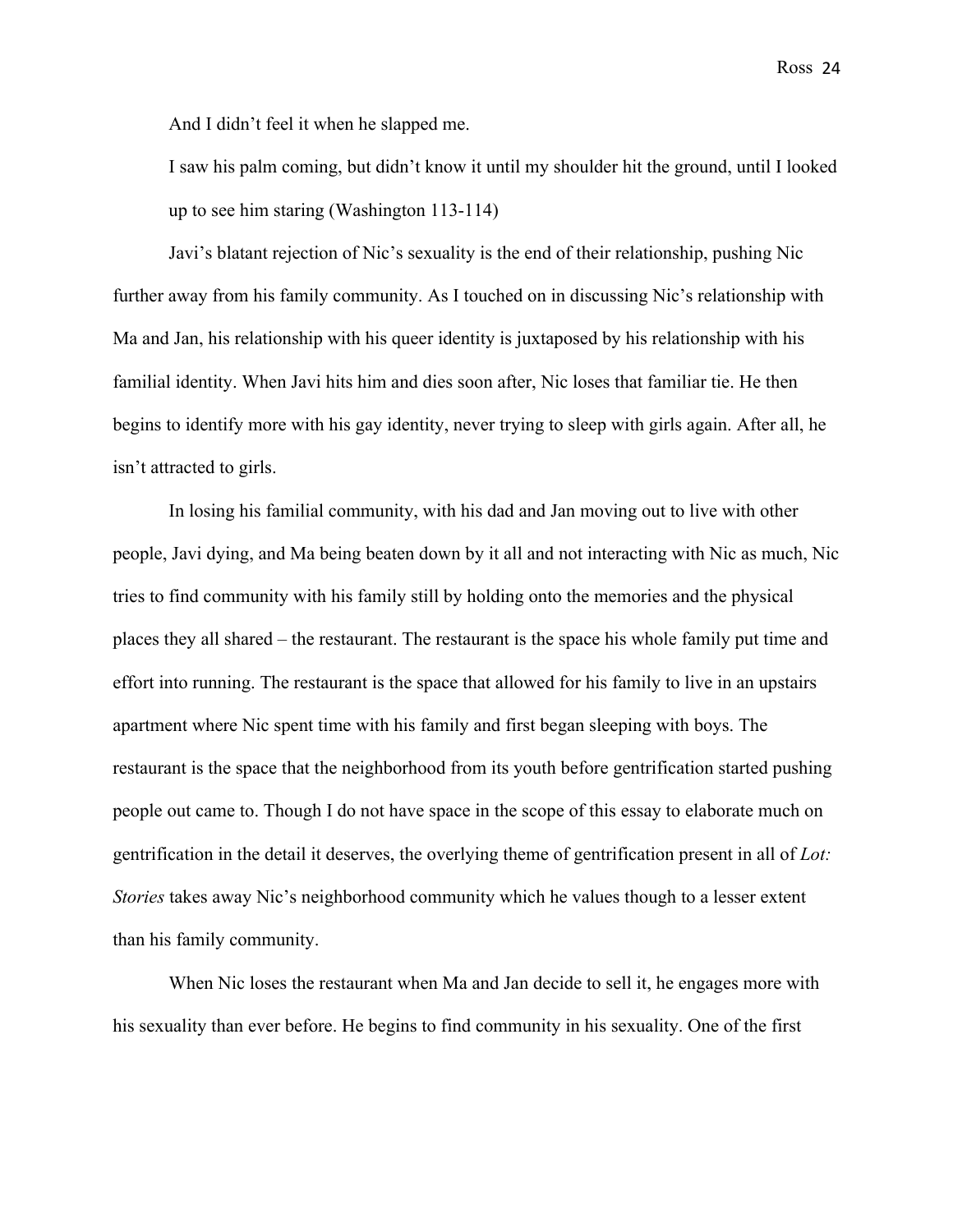And I didn't feel it when he slapped me.

I saw his palm coming, but didn't know it until my shoulder hit the ground, until I looked up to see him staring (Washington 113-114)

Javi's blatant rejection of Nic's sexuality is the end of their relationship, pushing Nic further away from his family community. As I touched on in discussing Nic's relationship with Ma and Jan, his relationship with his queer identity is juxtaposed by his relationship with his familial identity. When Javi hits him and dies soon after, Nic loses that familiar tie. He then begins to identify more with his gay identity, never trying to sleep with girls again. After all, he isn't attracted to girls.

In losing his familial community, with his dad and Jan moving out to live with other people, Javi dying, and Ma being beaten down by it all and not interacting with Nic as much, Nic tries to find community with his family still by holding onto the memories and the physical places they all shared – the restaurant. The restaurant is the space his whole family put time and effort into running. The restaurant is the space that allowed for his family to live in an upstairs apartment where Nic spent time with his family and first began sleeping with boys. The restaurant is the space that the neighborhood from its youth before gentrification started pushing people out came to. Though I do not have space in the scope of this essay to elaborate much on gentrification in the detail it deserves, the overlying theme of gentrification present in all of *Lot: Stories* takes away Nic's neighborhood community which he values though to a lesser extent than his family community.

When Nic loses the restaurant when Ma and Jan decide to sell it, he engages more with his sexuality than ever before. He begins to find community in his sexuality. One of the first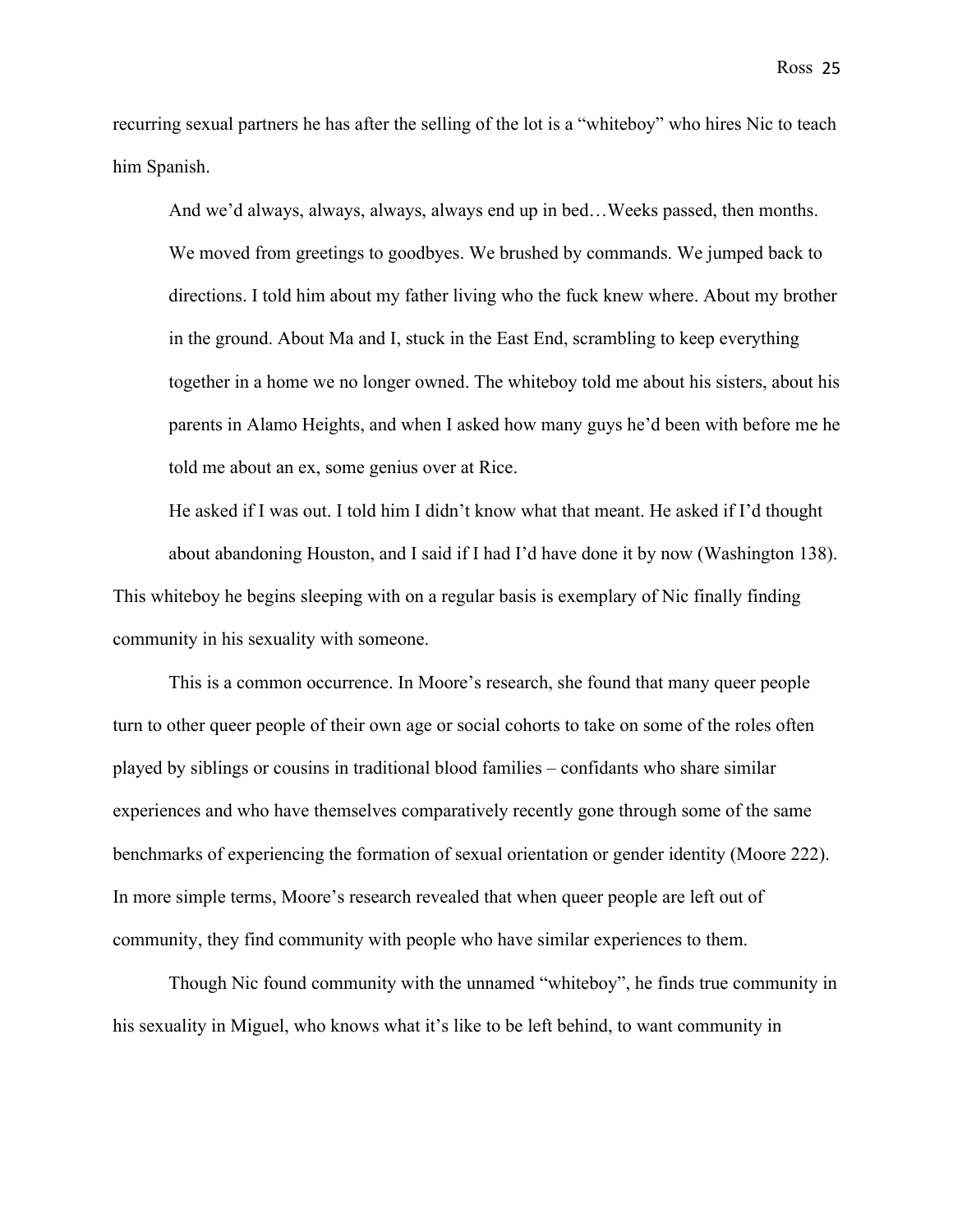recurring sexual partners he has after the selling of the lot is a "whiteboy" who hires Nic to teach him Spanish.

And we'd always, always, always, always end up in bed…Weeks passed, then months. We moved from greetings to goodbyes. We brushed by commands. We jumped back to directions. I told him about my father living who the fuck knew where. About my brother in the ground. About Ma and I, stuck in the East End, scrambling to keep everything together in a home we no longer owned. The whiteboy told me about his sisters, about his parents in Alamo Heights, and when I asked how many guys he'd been with before me he told me about an ex, some genius over at Rice.

He asked if I was out. I told him I didn't know what that meant. He asked if I'd thought about abandoning Houston, and I said if I had I'd have done it by now (Washington 138). This whiteboy he begins sleeping with on a regular basis is exemplary of Nic finally finding community in his sexuality with someone.

This is a common occurrence. In Moore's research, she found that many queer people turn to other queer people of their own age or social cohorts to take on some of the roles often played by siblings or cousins in traditional blood families – confidants who share similar experiences and who have themselves comparatively recently gone through some of the same benchmarks of experiencing the formation of sexual orientation or gender identity (Moore 222). In more simple terms, Moore's research revealed that when queer people are left out of community, they find community with people who have similar experiences to them.

Though Nic found community with the unnamed "whiteboy", he finds true community in his sexuality in Miguel, who knows what it's like to be left behind, to want community in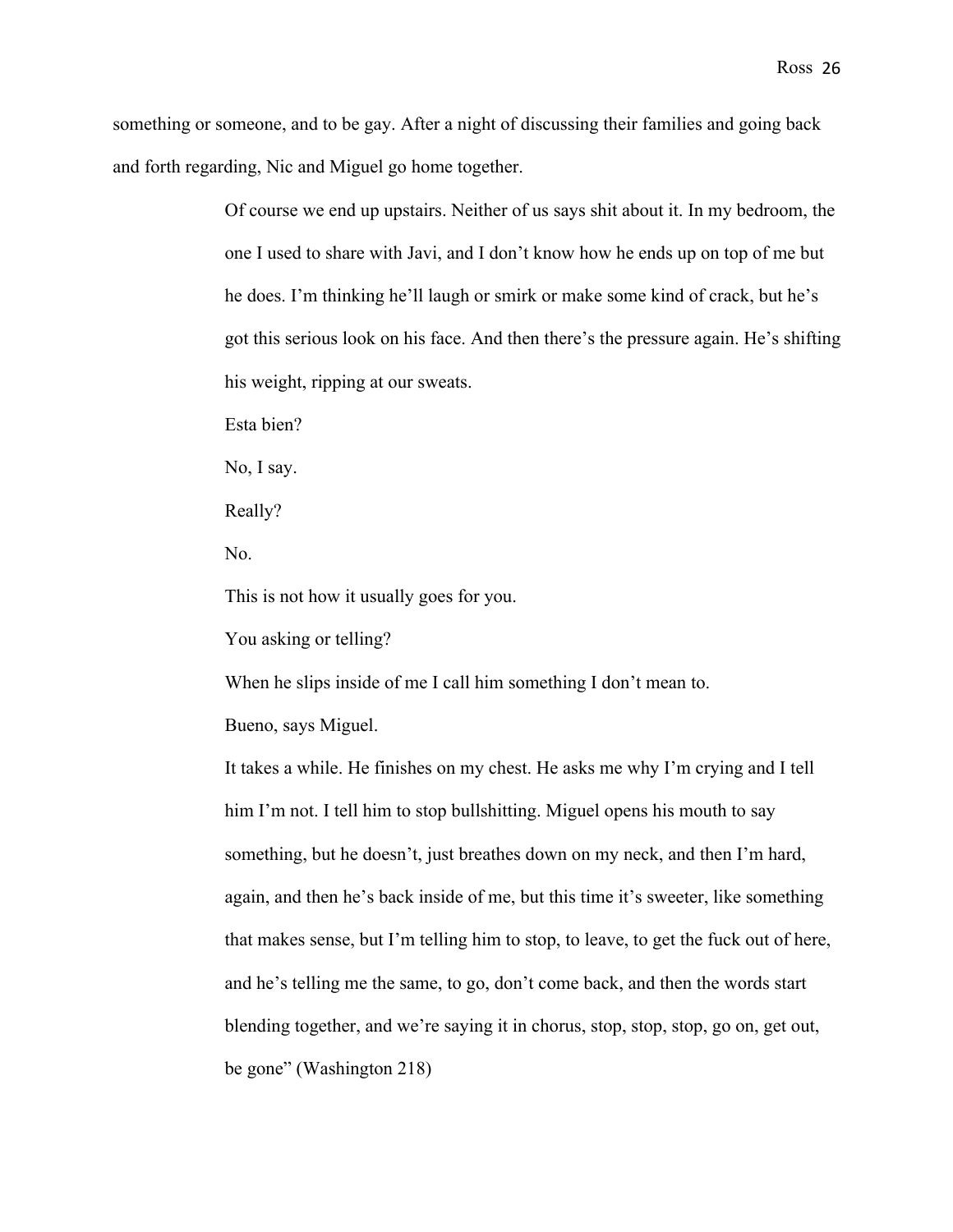something or someone, and to be gay. After a night of discussing their families and going back and forth regarding, Nic and Miguel go home together.

> Of course we end up upstairs. Neither of us says shit about it. In my bedroom, the one I used to share with Javi, and I don't know how he ends up on top of me but he does. I'm thinking he'll laugh or smirk or make some kind of crack, but he's got this serious look on his face. And then there's the pressure again. He's shifting his weight, ripping at our sweats.

Esta bien?

No, I say.

Really?

No.

This is not how it usually goes for you.

You asking or telling?

When he slips inside of me I call him something I don't mean to.

Bueno, says Miguel.

It takes a while. He finishes on my chest. He asks me why I'm crying and I tell him I'm not. I tell him to stop bullshitting. Miguel opens his mouth to say something, but he doesn't, just breathes down on my neck, and then I'm hard, again, and then he's back inside of me, but this time it's sweeter, like something that makes sense, but I'm telling him to stop, to leave, to get the fuck out of here, and he's telling me the same, to go, don't come back, and then the words start blending together, and we're saying it in chorus, stop, stop, stop, go on, get out, be gone" (Washington 218)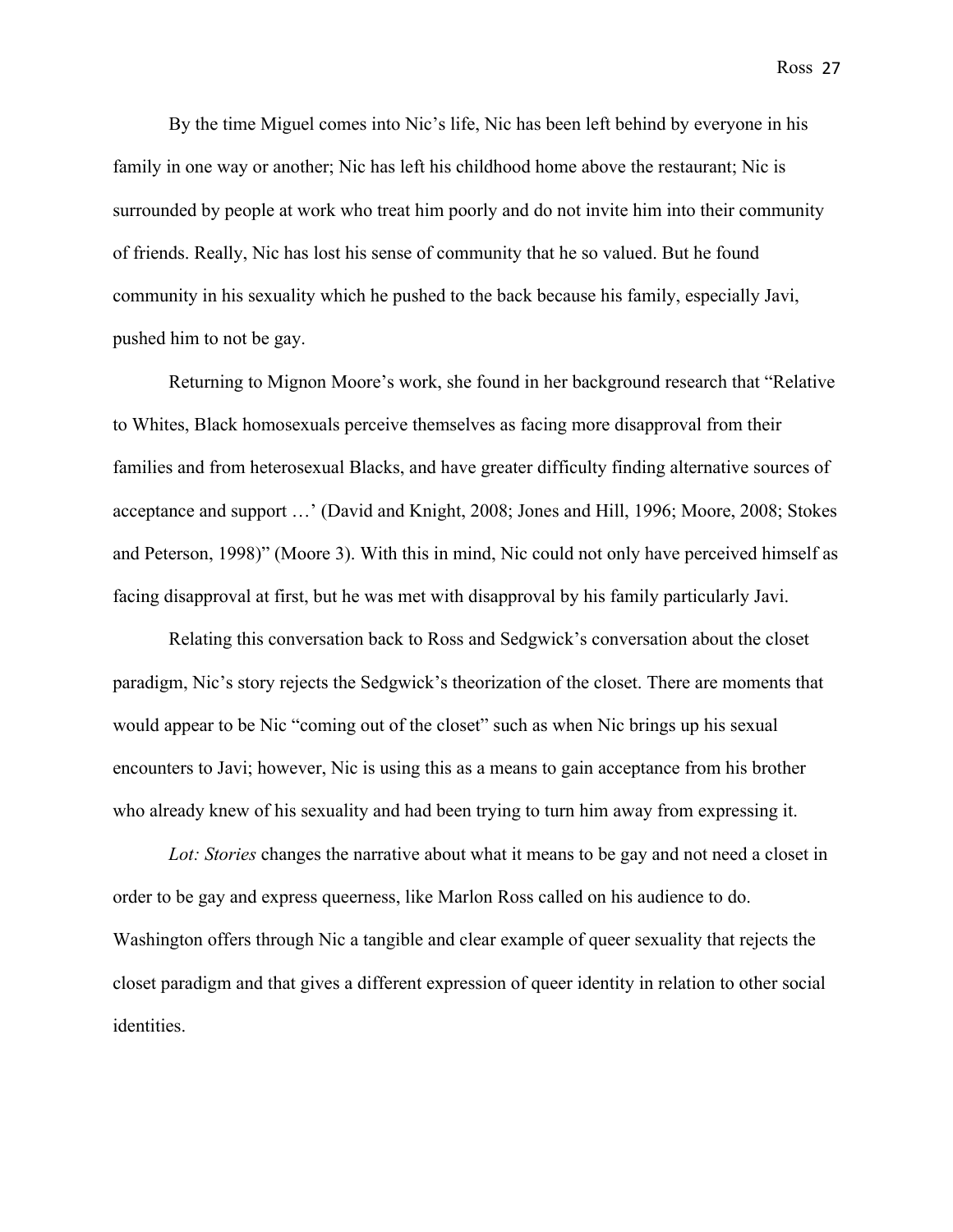By the time Miguel comes into Nic's life, Nic has been left behind by everyone in his family in one way or another; Nic has left his childhood home above the restaurant; Nic is surrounded by people at work who treat him poorly and do not invite him into their community of friends. Really, Nic has lost his sense of community that he so valued. But he found community in his sexuality which he pushed to the back because his family, especially Javi, pushed him to not be gay.

Returning to Mignon Moore's work, she found in her background research that "Relative to Whites, Black homosexuals perceive themselves as facing more disapproval from their families and from heterosexual Blacks, and have greater difficulty finding alternative sources of acceptance and support …' (David and Knight, 2008; Jones and Hill, 1996; Moore, 2008; Stokes and Peterson, 1998)" (Moore 3). With this in mind, Nic could not only have perceived himself as facing disapproval at first, but he was met with disapproval by his family particularly Javi.

Relating this conversation back to Ross and Sedgwick's conversation about the closet paradigm, Nic's story rejects the Sedgwick's theorization of the closet. There are moments that would appear to be Nic "coming out of the closet" such as when Nic brings up his sexual encounters to Javi; however, Nic is using this as a means to gain acceptance from his brother who already knew of his sexuality and had been trying to turn him away from expressing it.

*Lot: Stories* changes the narrative about what it means to be gay and not need a closet in order to be gay and express queerness, like Marlon Ross called on his audience to do. Washington offers through Nic a tangible and clear example of queer sexuality that rejects the closet paradigm and that gives a different expression of queer identity in relation to other social identities.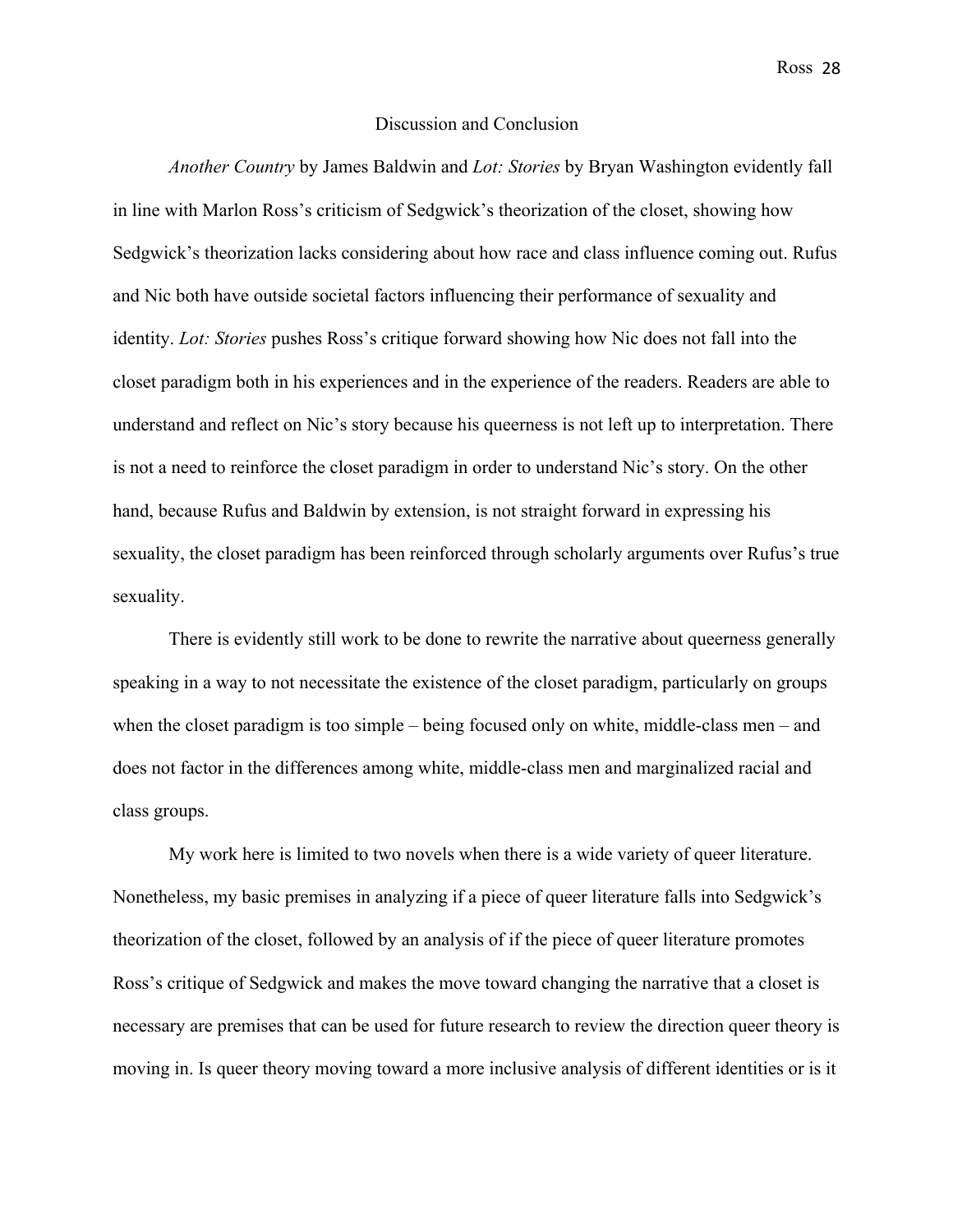#### Discussion and Conclusion

*Another Country* by James Baldwin and *Lot: Stories* by Bryan Washington evidently fall in line with Marlon Ross's criticism of Sedgwick's theorization of the closet, showing how Sedgwick's theorization lacks considering about how race and class influence coming out. Rufus and Nic both have outside societal factors influencing their performance of sexuality and identity. *Lot: Stories* pushes Ross's critique forward showing how Nic does not fall into the closet paradigm both in his experiences and in the experience of the readers. Readers are able to understand and reflect on Nic's story because his queerness is not left up to interpretation. There is not a need to reinforce the closet paradigm in order to understand Nic's story. On the other hand, because Rufus and Baldwin by extension, is not straight forward in expressing his sexuality, the closet paradigm has been reinforced through scholarly arguments over Rufus's true sexuality.

There is evidently still work to be done to rewrite the narrative about queerness generally speaking in a way to not necessitate the existence of the closet paradigm, particularly on groups when the closet paradigm is too simple – being focused only on white, middle-class men – and does not factor in the differences among white, middle-class men and marginalized racial and class groups.

My work here is limited to two novels when there is a wide variety of queer literature. Nonetheless, my basic premises in analyzing if a piece of queer literature falls into Sedgwick's theorization of the closet, followed by an analysis of if the piece of queer literature promotes Ross's critique of Sedgwick and makes the move toward changing the narrative that a closet is necessary are premises that can be used for future research to review the direction queer theory is moving in. Is queer theory moving toward a more inclusive analysis of different identities or is it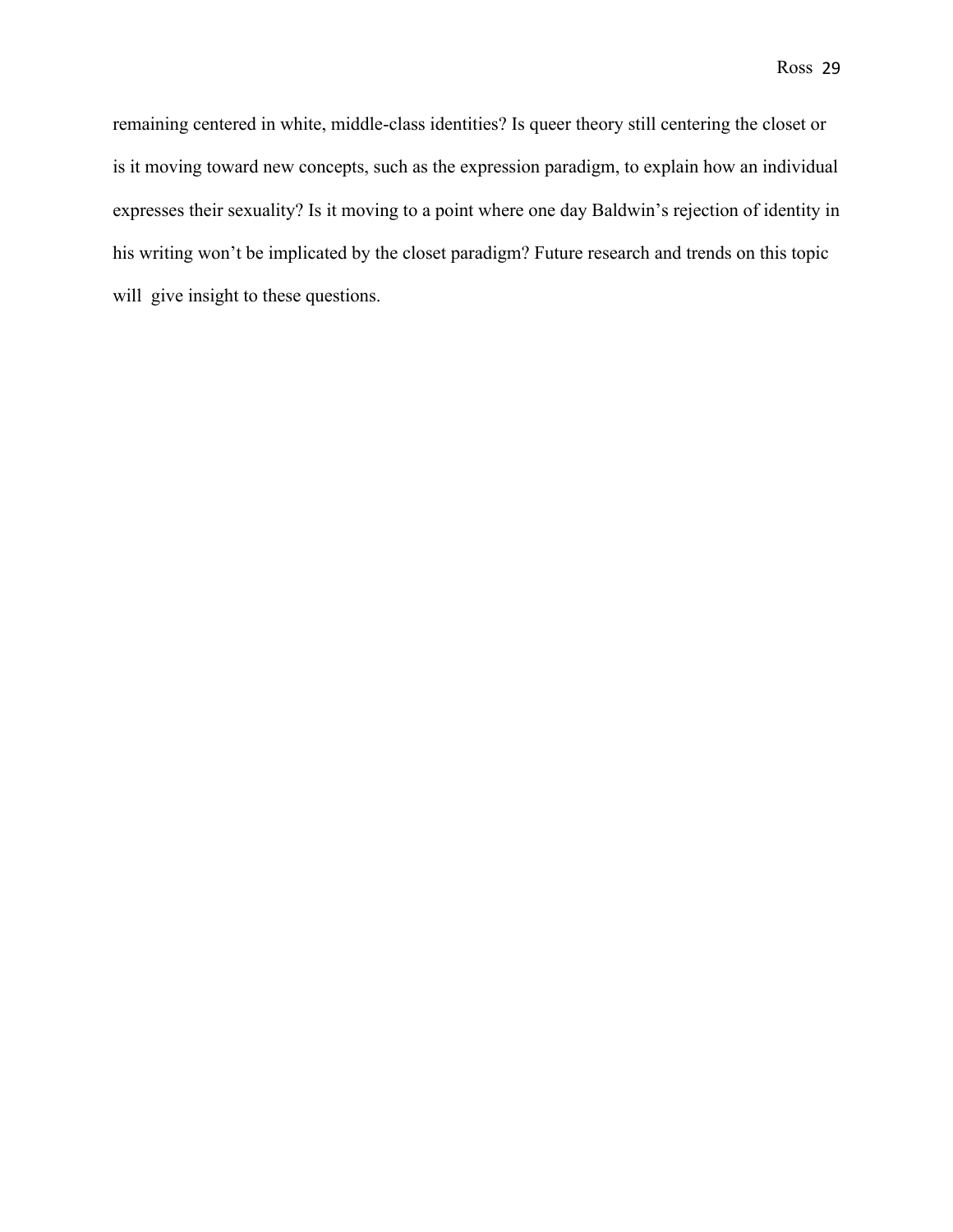remaining centered in white, middle-class identities? Is queer theory still centering the closet or is it moving toward new concepts, such as the expression paradigm, to explain how an individual expresses their sexuality? Is it moving to a point where one day Baldwin's rejection of identity in his writing won't be implicated by the closet paradigm? Future research and trends on this topic will give insight to these questions.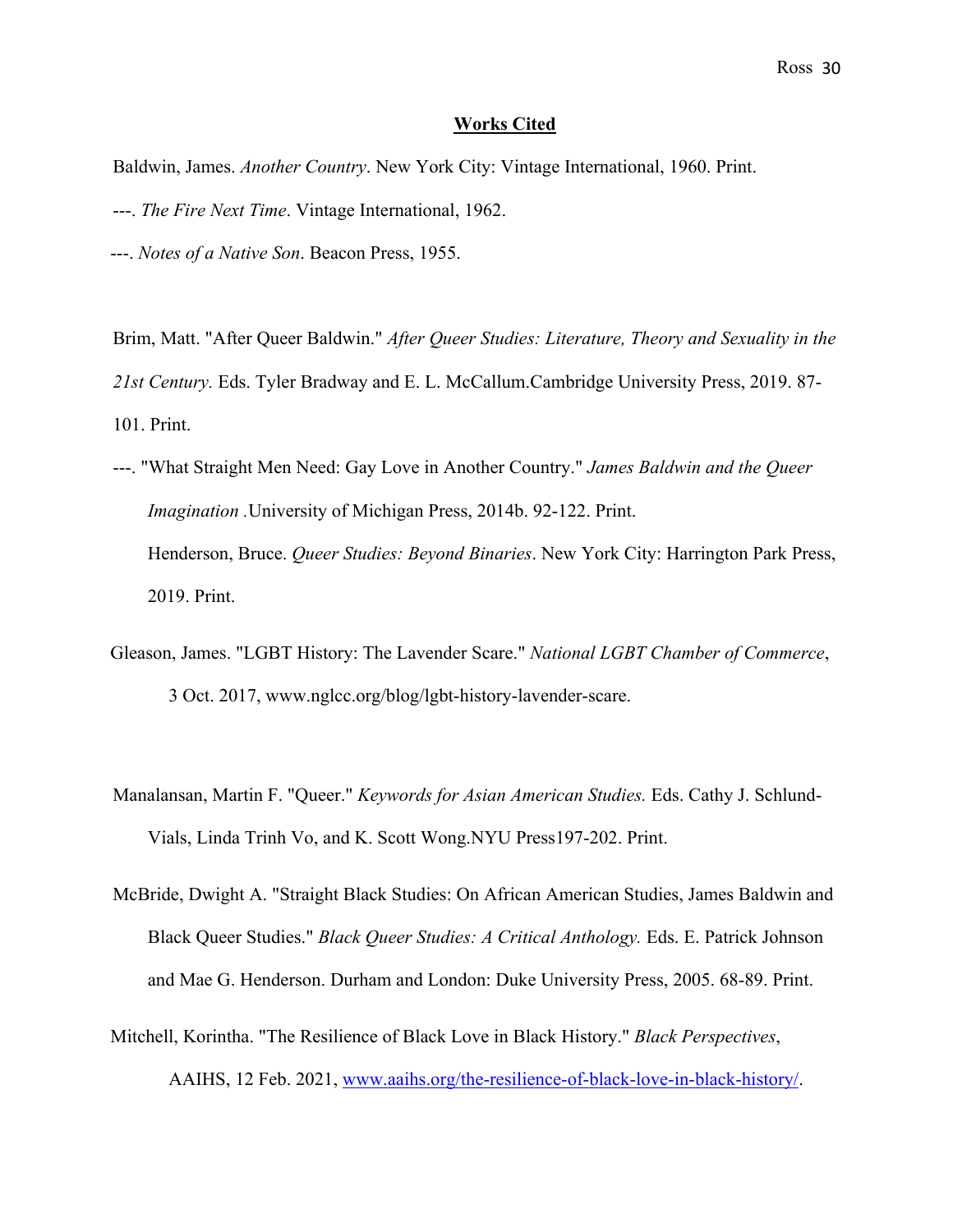#### **Works Cited**

- Baldwin, James. *Another Country*. New York City: Vintage International, 1960. Print. ---. *The Fire Next Time*. Vintage International, 1962.
- ---. *Notes of a Native Son*. Beacon Press, 1955.

Brim, Matt. "After Queer Baldwin." *After Queer Studies: Literature, Theory and Sexuality in the 21st Century.* Eds. Tyler Bradway and E. L. McCallum.Cambridge University Press, 2019. 87- 101. Print.

- ---. "What Straight Men Need: Gay Love in Another Country." *James Baldwin and the Queer Imagination .*University of Michigan Press, 2014b. 92-122. Print. Henderson, Bruce. *Queer Studies: Beyond Binaries*. New York City: Harrington Park Press, 2019. Print.
- Gleason, James. "LGBT History: The Lavender Scare." *National LGBT Chamber of Commerce*, 3 Oct. 2017, www.nglcc.org/blog/lgbt-history-lavender-scare.
- Manalansan, Martin F. "Queer." *Keywords for Asian American Studies.* Eds. Cathy J. Schlund-Vials, Linda Trinh Vo, and K. Scott Wong.NYU Press197-202. Print.
- McBride, Dwight A. "Straight Black Studies: On African American Studies, James Baldwin and Black Queer Studies." *Black Queer Studies: A Critical Anthology.* Eds. E. Patrick Johnson and Mae G. Henderson. Durham and London: Duke University Press, 2005. 68-89. Print.
- Mitchell, Korintha. "The Resilience of Black Love in Black History." *Black Perspectives*, AAIHS, 12 Feb. 2021, www.aaihs.org/the-resilience-of-black-love-in-black-history/.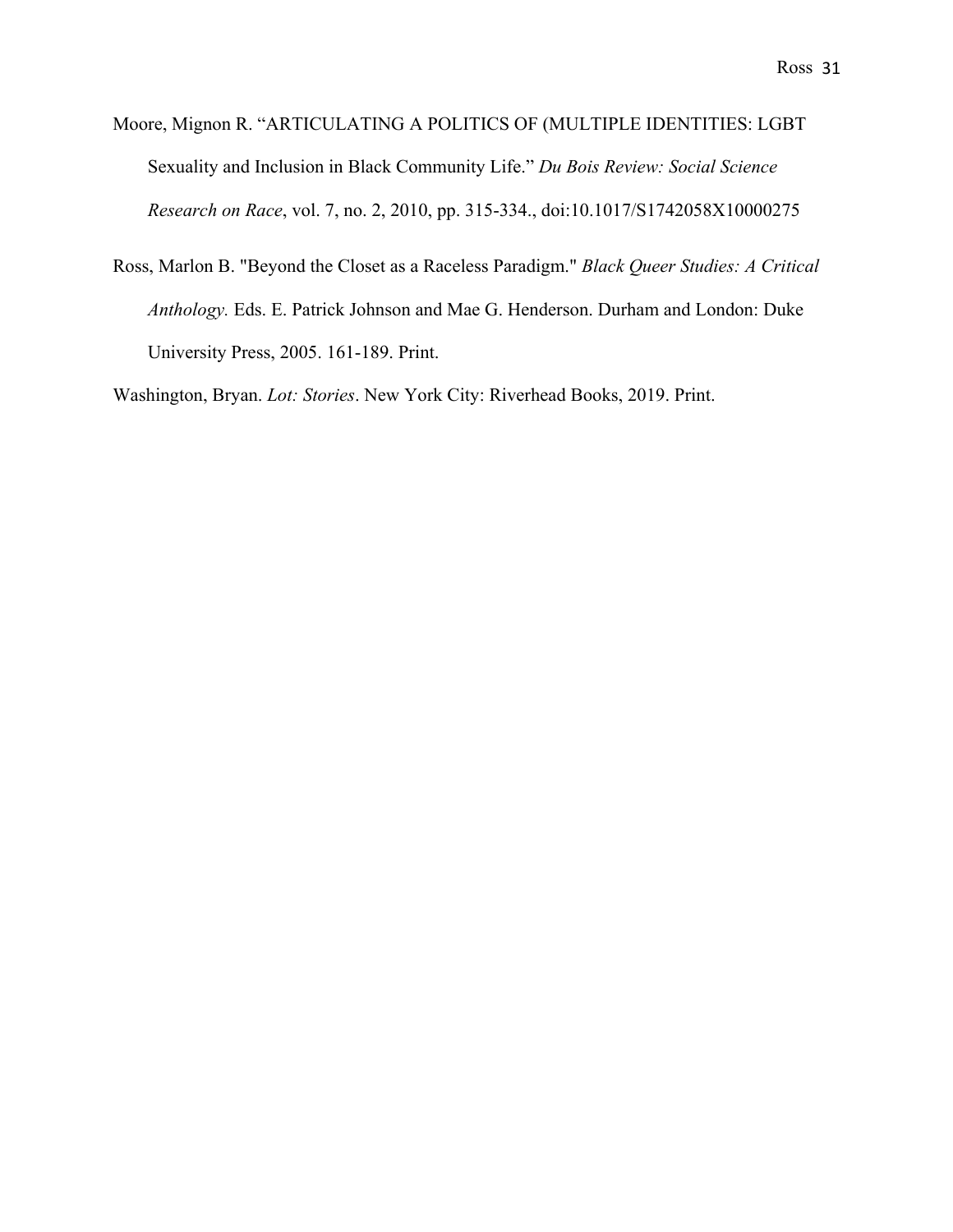- Moore, Mignon R. "ARTICULATING A POLITICS OF (MULTIPLE IDENTITIES: LGBT Sexuality and Inclusion in Black Community Life." *Du Bois Review: Social Science Research on Race*, vol. 7, no. 2, 2010, pp. 315-334., doi:10.1017/S1742058X10000275
- Ross, Marlon B. "Beyond the Closet as a Raceless Paradigm." *Black Queer Studies: A Critical Anthology.* Eds. E. Patrick Johnson and Mae G. Henderson. Durham and London: Duke University Press, 2005. 161-189. Print.

Washington, Bryan. *Lot: Stories*. New York City: Riverhead Books, 2019. Print.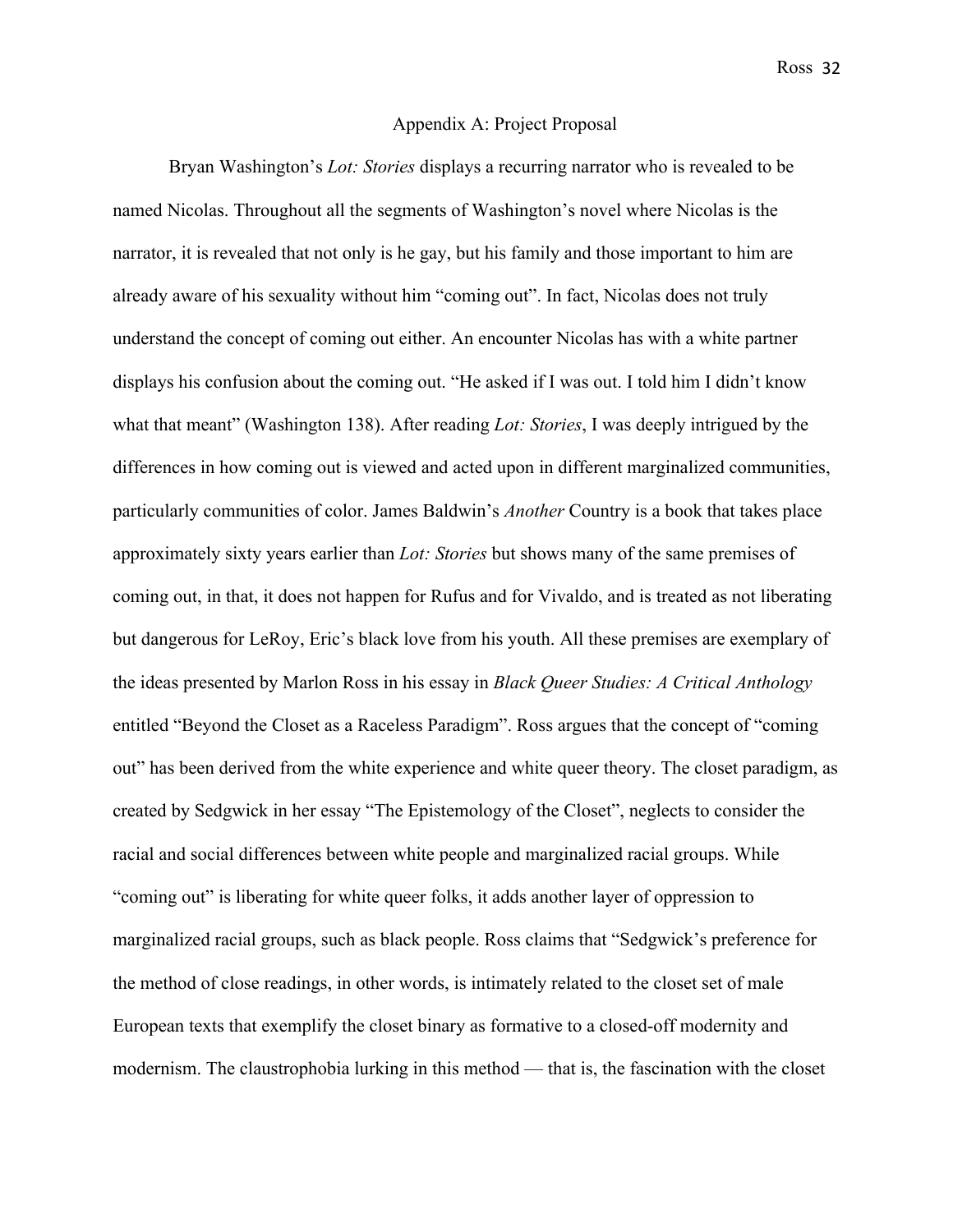## Appendix A: Project Proposal

Bryan Washington's *Lot: Stories* displays a recurring narrator who is revealed to be named Nicolas. Throughout all the segments of Washington's novel where Nicolas is the narrator, it is revealed that not only is he gay, but his family and those important to him are already aware of his sexuality without him "coming out". In fact, Nicolas does not truly understand the concept of coming out either. An encounter Nicolas has with a white partner displays his confusion about the coming out. "He asked if I was out. I told him I didn't know what that meant" (Washington 138). After reading *Lot: Stories*, I was deeply intrigued by the differences in how coming out is viewed and acted upon in different marginalized communities, particularly communities of color. James Baldwin's *Another* Country is a book that takes place approximately sixty years earlier than *Lot: Stories* but shows many of the same premises of coming out, in that, it does not happen for Rufus and for Vivaldo, and is treated as not liberating but dangerous for LeRoy, Eric's black love from his youth. All these premises are exemplary of the ideas presented by Marlon Ross in his essay in *Black Queer Studies: A Critical Anthology* entitled "Beyond the Closet as a Raceless Paradigm". Ross argues that the concept of "coming out" has been derived from the white experience and white queer theory. The closet paradigm, as created by Sedgwick in her essay "The Epistemology of the Closet", neglects to consider the racial and social differences between white people and marginalized racial groups. While "coming out" is liberating for white queer folks, it adds another layer of oppression to marginalized racial groups, such as black people. Ross claims that "Sedgwick's preference for the method of close readings, in other words, is intimately related to the closet set of male European texts that exemplify the closet binary as formative to a closed-off modernity and modernism. The claustrophobia lurking in this method — that is, the fascination with the closet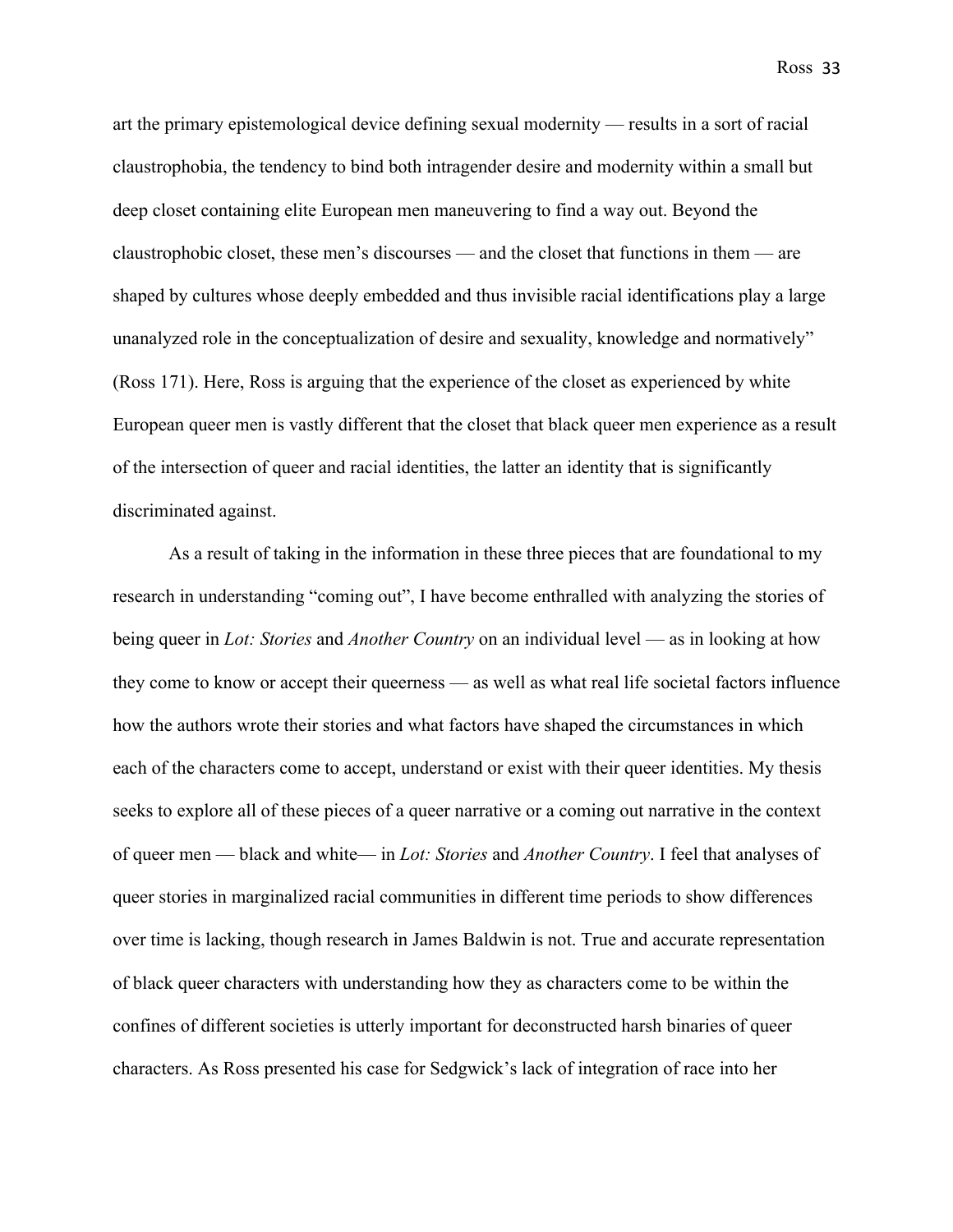art the primary epistemological device defining sexual modernity — results in a sort of racial claustrophobia, the tendency to bind both intragender desire and modernity within a small but deep closet containing elite European men maneuvering to find a way out. Beyond the claustrophobic closet, these men's discourses — and the closet that functions in them — are shaped by cultures whose deeply embedded and thus invisible racial identifications play a large unanalyzed role in the conceptualization of desire and sexuality, knowledge and normatively" (Ross 171). Here, Ross is arguing that the experience of the closet as experienced by white European queer men is vastly different that the closet that black queer men experience as a result of the intersection of queer and racial identities, the latter an identity that is significantly discriminated against.

As a result of taking in the information in these three pieces that are foundational to my research in understanding "coming out", I have become enthralled with analyzing the stories of being queer in *Lot: Stories* and *Another Country* on an individual level — as in looking at how they come to know or accept their queerness — as well as what real life societal factors influence how the authors wrote their stories and what factors have shaped the circumstances in which each of the characters come to accept, understand or exist with their queer identities. My thesis seeks to explore all of these pieces of a queer narrative or a coming out narrative in the context of queer men — black and white— in *Lot: Stories* and *Another Country*. I feel that analyses of queer stories in marginalized racial communities in different time periods to show differences over time is lacking, though research in James Baldwin is not. True and accurate representation of black queer characters with understanding how they as characters come to be within the confines of different societies is utterly important for deconstructed harsh binaries of queer characters. As Ross presented his case for Sedgwick's lack of integration of race into her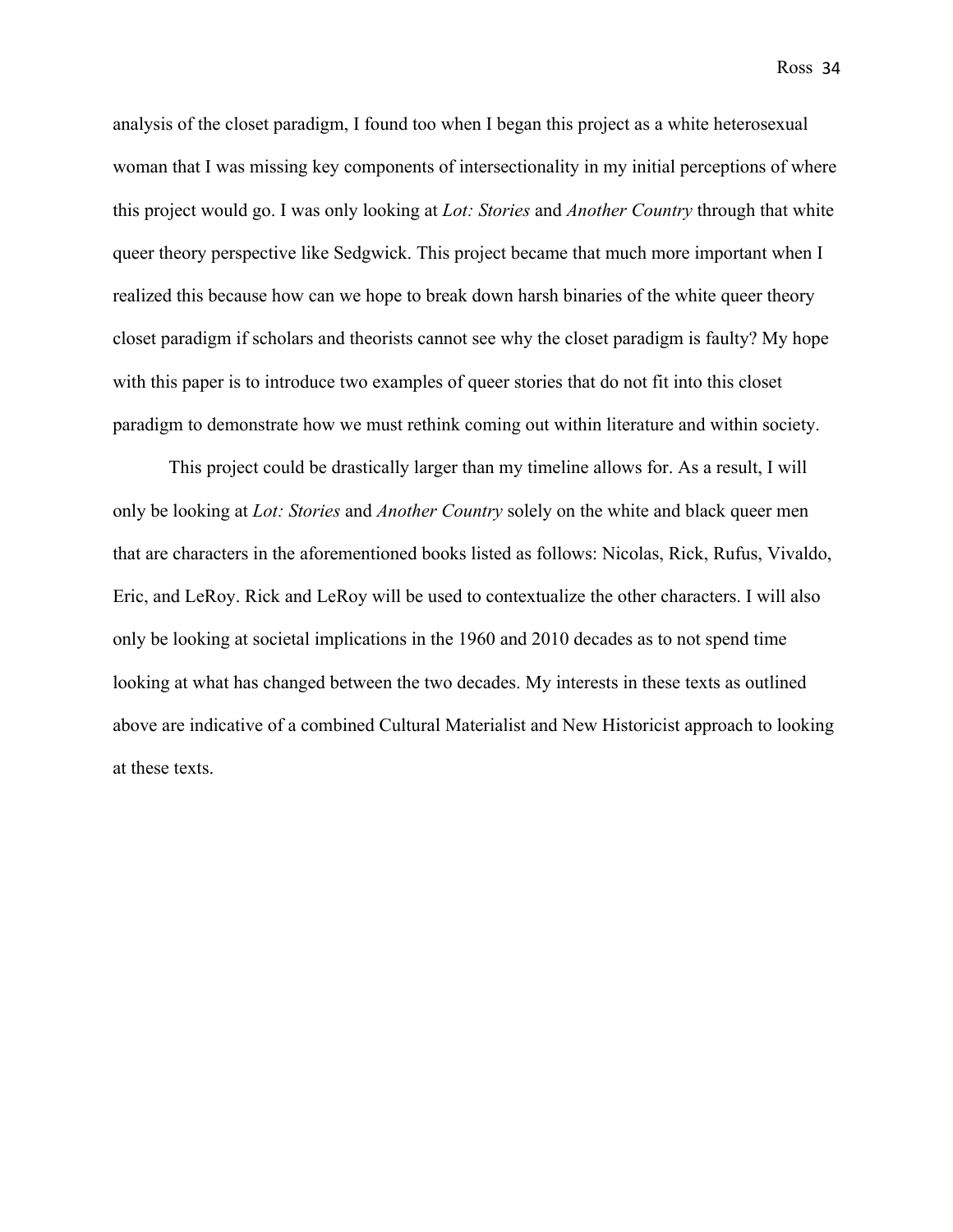analysis of the closet paradigm, I found too when I began this project as a white heterosexual woman that I was missing key components of intersectionality in my initial perceptions of where this project would go. I was only looking at *Lot: Stories* and *Another Country* through that white queer theory perspective like Sedgwick. This project became that much more important when I realized this because how can we hope to break down harsh binaries of the white queer theory closet paradigm if scholars and theorists cannot see why the closet paradigm is faulty? My hope with this paper is to introduce two examples of queer stories that do not fit into this closet paradigm to demonstrate how we must rethink coming out within literature and within society.

This project could be drastically larger than my timeline allows for. As a result, I will only be looking at *Lot: Stories* and *Another Country* solely on the white and black queer men that are characters in the aforementioned books listed as follows: Nicolas, Rick, Rufus, Vivaldo, Eric, and LeRoy. Rick and LeRoy will be used to contextualize the other characters. I will also only be looking at societal implications in the 1960 and 2010 decades as to not spend time looking at what has changed between the two decades. My interests in these texts as outlined above are indicative of a combined Cultural Materialist and New Historicist approach to looking at these texts.

Ross 34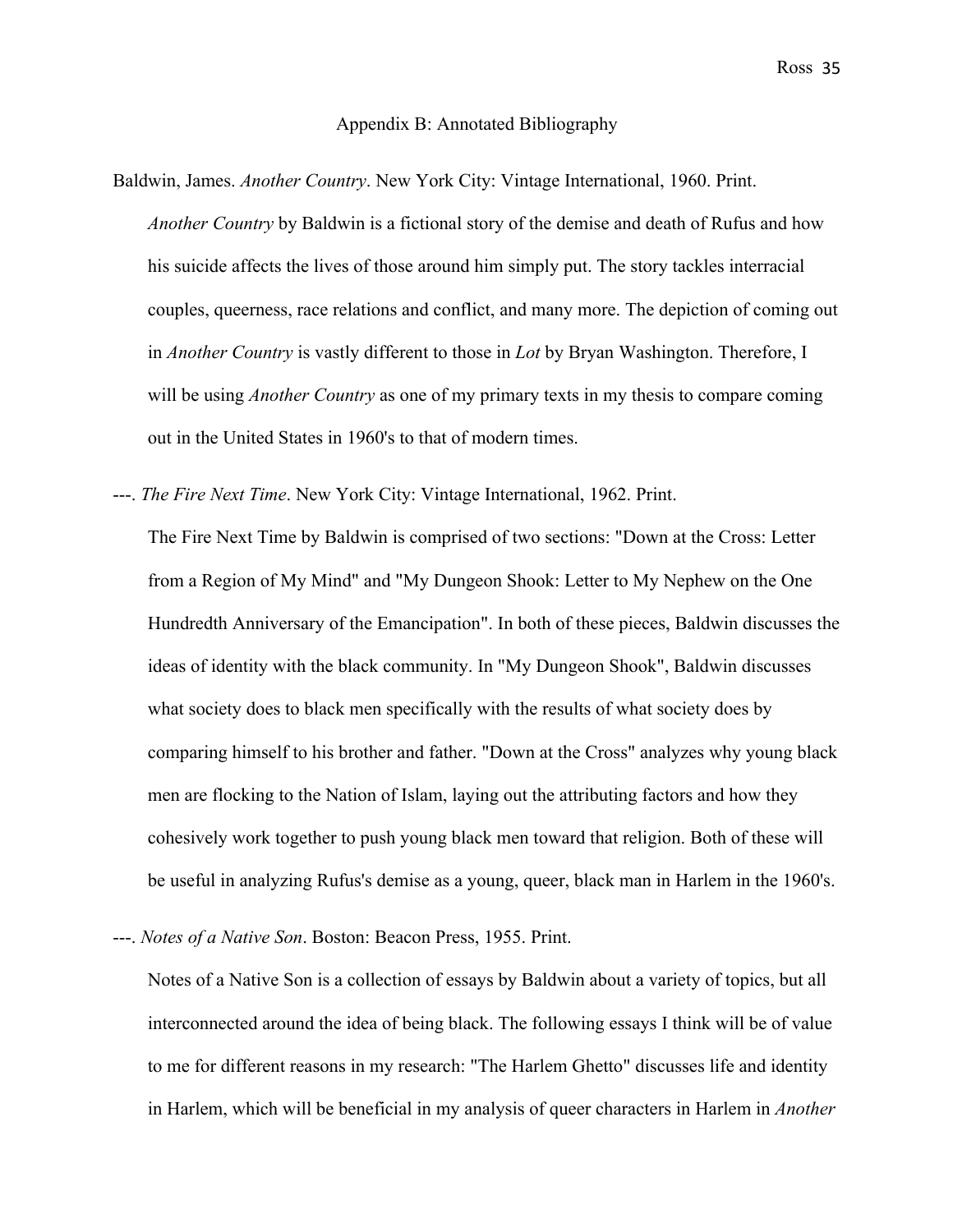#### Appendix B: Annotated Bibliography

- Baldwin, James. *Another Country*. New York City: Vintage International, 1960. Print. *Another Country* by Baldwin is a fictional story of the demise and death of Rufus and how his suicide affects the lives of those around him simply put. The story tackles interracial couples, queerness, race relations and conflict, and many more. The depiction of coming out in *Another Country* is vastly different to those in *Lot* by Bryan Washington. Therefore, I will be using *Another Country* as one of my primary texts in my thesis to compare coming out in the United States in 1960's to that of modern times.
- ---. *The Fire Next Time*. New York City: Vintage International, 1962. Print.

The Fire Next Time by Baldwin is comprised of two sections: "Down at the Cross: Letter from a Region of My Mind" and "My Dungeon Shook: Letter to My Nephew on the One Hundredth Anniversary of the Emancipation". In both of these pieces, Baldwin discusses the ideas of identity with the black community. In "My Dungeon Shook", Baldwin discusses what society does to black men specifically with the results of what society does by comparing himself to his brother and father. "Down at the Cross" analyzes why young black men are flocking to the Nation of Islam, laying out the attributing factors and how they cohesively work together to push young black men toward that religion. Both of these will be useful in analyzing Rufus's demise as a young, queer, black man in Harlem in the 1960's.

---. *Notes of a Native Son*. Boston: Beacon Press, 1955. Print.

Notes of a Native Son is a collection of essays by Baldwin about a variety of topics, but all interconnected around the idea of being black. The following essays I think will be of value to me for different reasons in my research: "The Harlem Ghetto" discusses life and identity in Harlem, which will be beneficial in my analysis of queer characters in Harlem in *Another*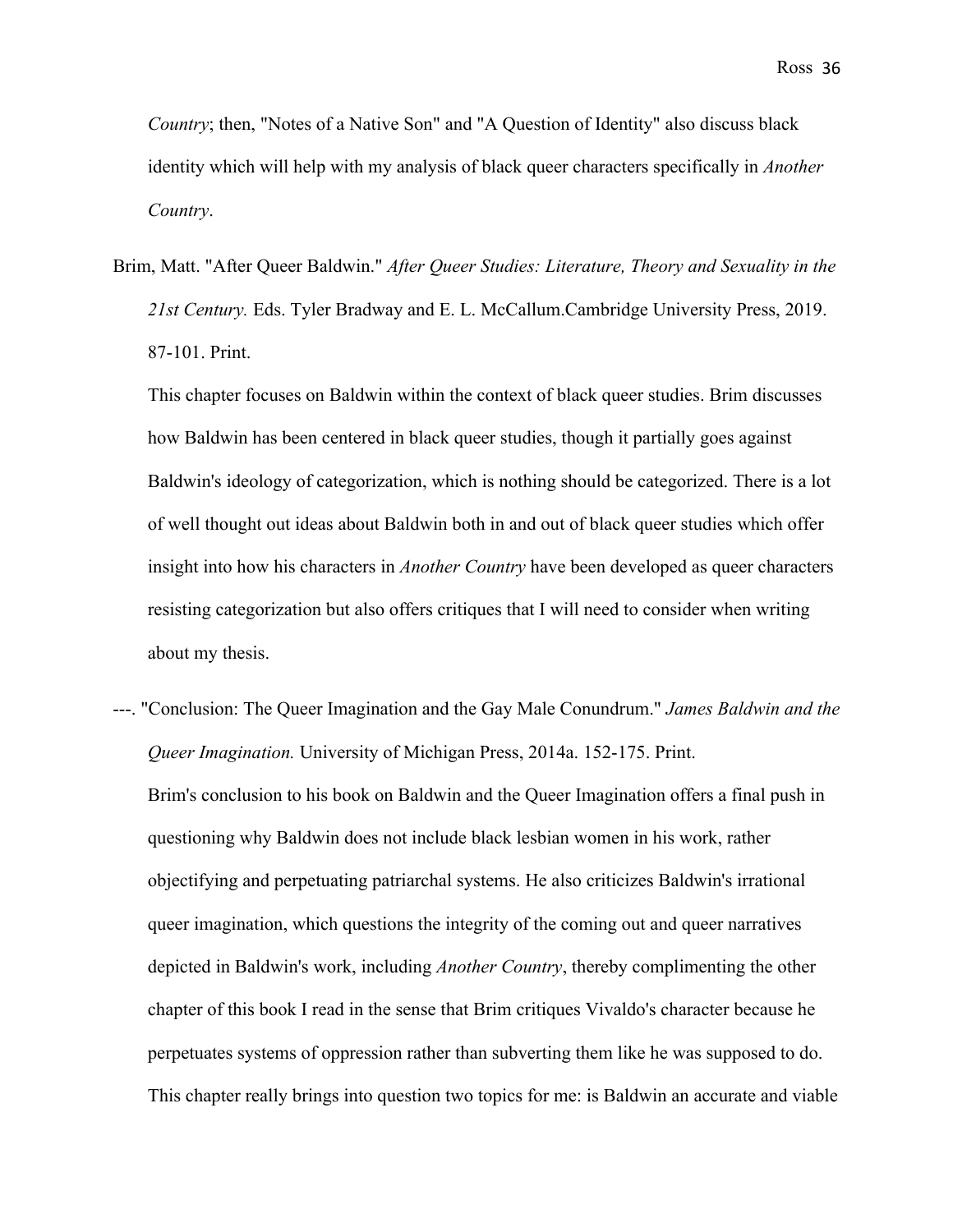*Country*; then, "Notes of a Native Son" and "A Question of Identity" also discuss black identity which will help with my analysis of black queer characters specifically in *Another Country*.

Brim, Matt. "After Queer Baldwin." *After Queer Studies: Literature, Theory and Sexuality in the 21st Century.* Eds. Tyler Bradway and E. L. McCallum.Cambridge University Press, 2019. 87-101. Print.

This chapter focuses on Baldwin within the context of black queer studies. Brim discusses how Baldwin has been centered in black queer studies, though it partially goes against Baldwin's ideology of categorization, which is nothing should be categorized. There is a lot of well thought out ideas about Baldwin both in and out of black queer studies which offer insight into how his characters in *Another Country* have been developed as queer characters resisting categorization but also offers critiques that I will need to consider when writing about my thesis.

---. "Conclusion: The Queer Imagination and the Gay Male Conundrum." *James Baldwin and the Queer Imagination.* University of Michigan Press, 2014a. 152-175. Print. Brim's conclusion to his book on Baldwin and the Queer Imagination offers a final push in questioning why Baldwin does not include black lesbian women in his work, rather objectifying and perpetuating patriarchal systems. He also criticizes Baldwin's irrational queer imagination, which questions the integrity of the coming out and queer narratives depicted in Baldwin's work, including *Another Country*, thereby complimenting the other chapter of this book I read in the sense that Brim critiques Vivaldo's character because he perpetuates systems of oppression rather than subverting them like he was supposed to do. This chapter really brings into question two topics for me: is Baldwin an accurate and viable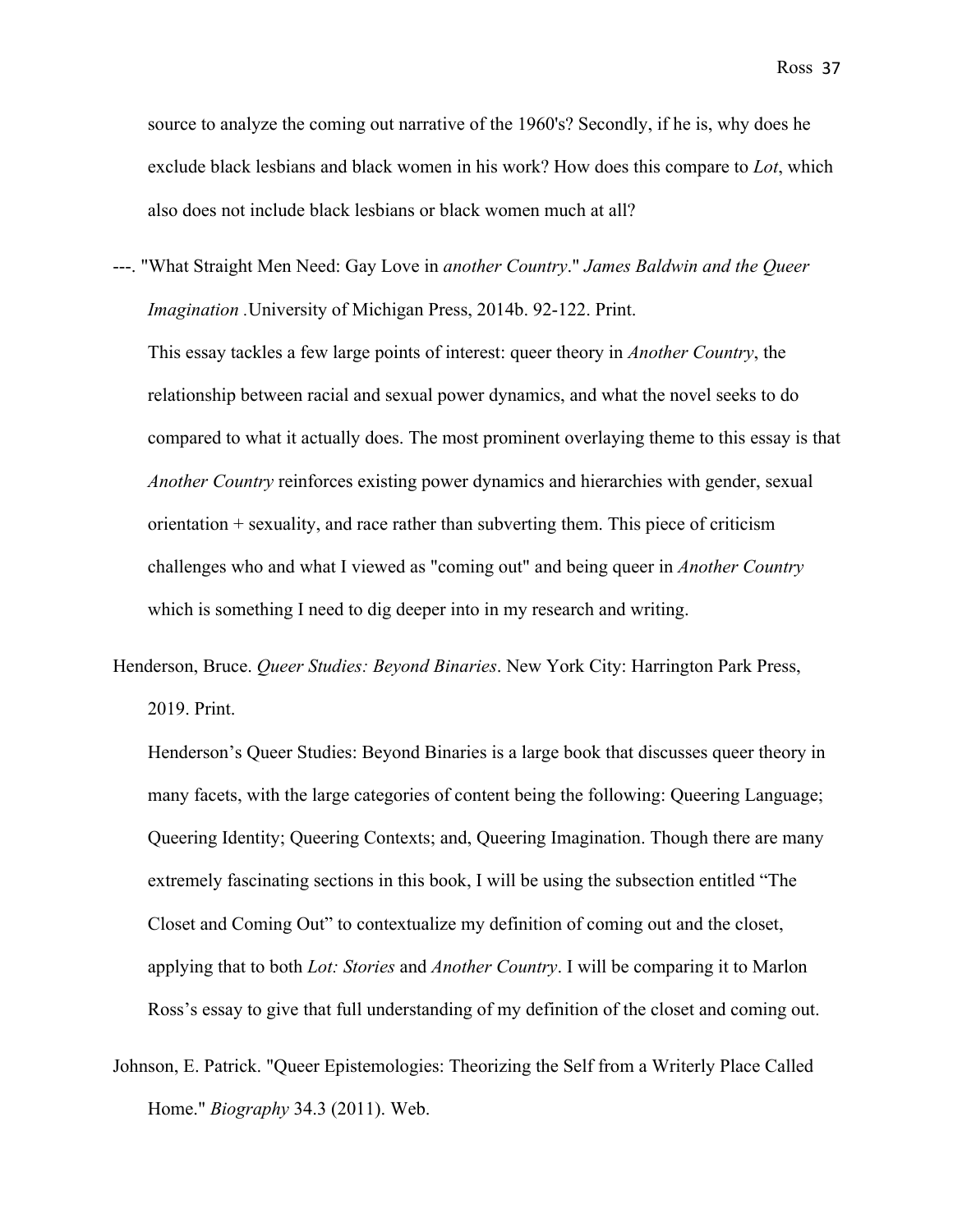source to analyze the coming out narrative of the 1960's? Secondly, if he is, why does he exclude black lesbians and black women in his work? How does this compare to *Lot*, which also does not include black lesbians or black women much at all?

---. "What Straight Men Need: Gay Love in *another Country*." *James Baldwin and the Queer Imagination .*University of Michigan Press, 2014b. 92-122. Print.

This essay tackles a few large points of interest: queer theory in *Another Country*, the relationship between racial and sexual power dynamics, and what the novel seeks to do compared to what it actually does. The most prominent overlaying theme to this essay is that *Another Country* reinforces existing power dynamics and hierarchies with gender, sexual orientation + sexuality, and race rather than subverting them. This piece of criticism challenges who and what I viewed as "coming out" and being queer in *Another Country* which is something I need to dig deeper into in my research and writing.

Henderson, Bruce. *Queer Studies: Beyond Binaries*. New York City: Harrington Park Press, 2019. Print.

Henderson's Queer Studies: Beyond Binaries is a large book that discusses queer theory in many facets, with the large categories of content being the following: Queering Language; Queering Identity; Queering Contexts; and, Queering Imagination. Though there are many extremely fascinating sections in this book, I will be using the subsection entitled "The Closet and Coming Out" to contextualize my definition of coming out and the closet, applying that to both *Lot: Stories* and *Another Country*. I will be comparing it to Marlon Ross's essay to give that full understanding of my definition of the closet and coming out.

Johnson, E. Patrick. "Queer Epistemologies: Theorizing the Self from a Writerly Place Called Home." *Biography* 34.3 (2011). Web.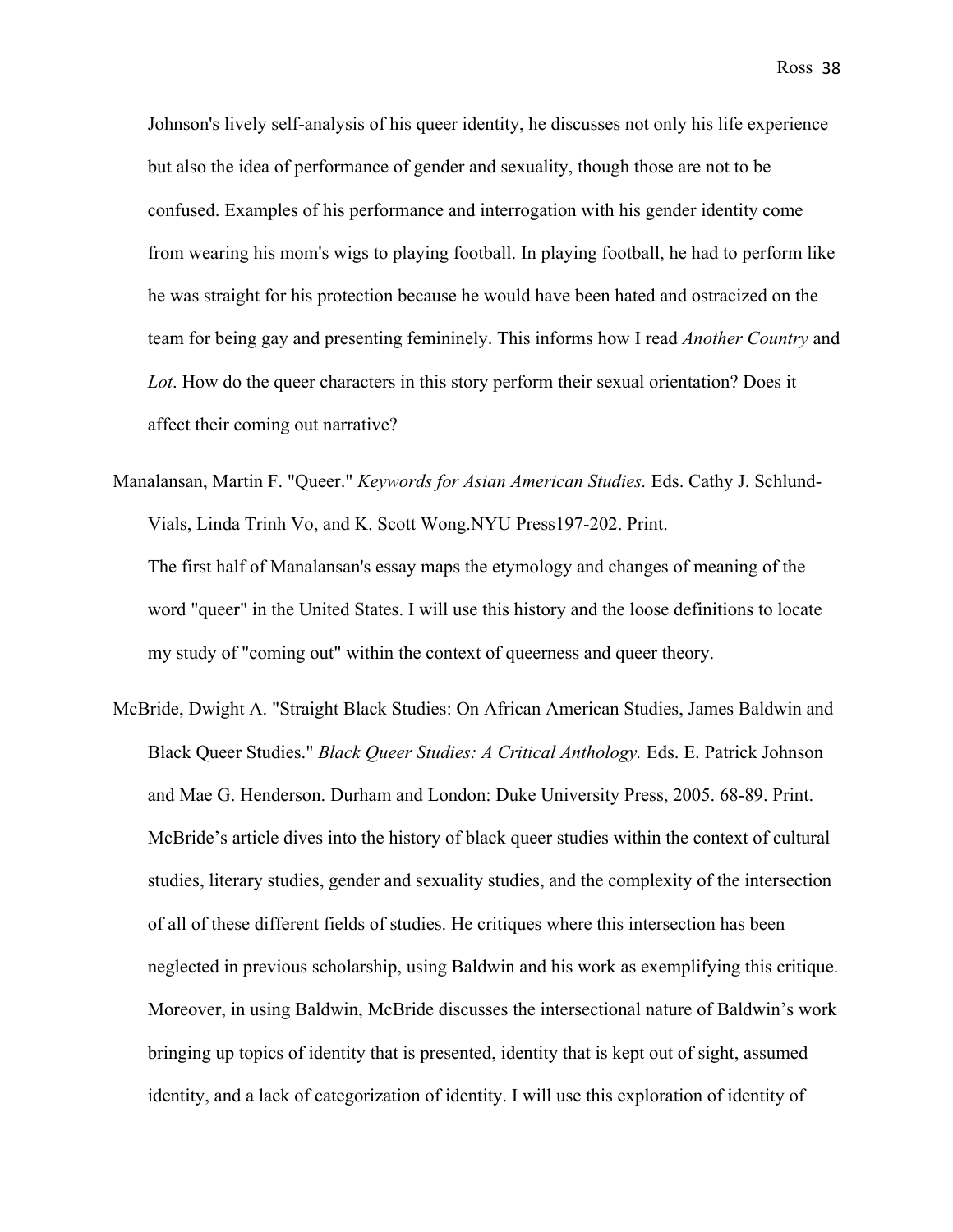Johnson's lively self-analysis of his queer identity, he discusses not only his life experience but also the idea of performance of gender and sexuality, though those are not to be confused. Examples of his performance and interrogation with his gender identity come from wearing his mom's wigs to playing football. In playing football, he had to perform like he was straight for his protection because he would have been hated and ostracized on the team for being gay and presenting femininely. This informs how I read *Another Country* and *Lot*. How do the queer characters in this story perform their sexual orientation? Does it affect their coming out narrative?

- Manalansan, Martin F. "Queer." *Keywords for Asian American Studies.* Eds. Cathy J. Schlund-Vials, Linda Trinh Vo, and K. Scott Wong.NYU Press197-202. Print. The first half of Manalansan's essay maps the etymology and changes of meaning of the word "queer" in the United States. I will use this history and the loose definitions to locate my study of "coming out" within the context of queerness and queer theory.
- McBride, Dwight A. "Straight Black Studies: On African American Studies, James Baldwin and Black Queer Studies." *Black Queer Studies: A Critical Anthology.* Eds. E. Patrick Johnson and Mae G. Henderson. Durham and London: Duke University Press, 2005. 68-89. Print. McBride's article dives into the history of black queer studies within the context of cultural studies, literary studies, gender and sexuality studies, and the complexity of the intersection of all of these different fields of studies. He critiques where this intersection has been neglected in previous scholarship, using Baldwin and his work as exemplifying this critique. Moreover, in using Baldwin, McBride discusses the intersectional nature of Baldwin's work bringing up topics of identity that is presented, identity that is kept out of sight, assumed identity, and a lack of categorization of identity. I will use this exploration of identity of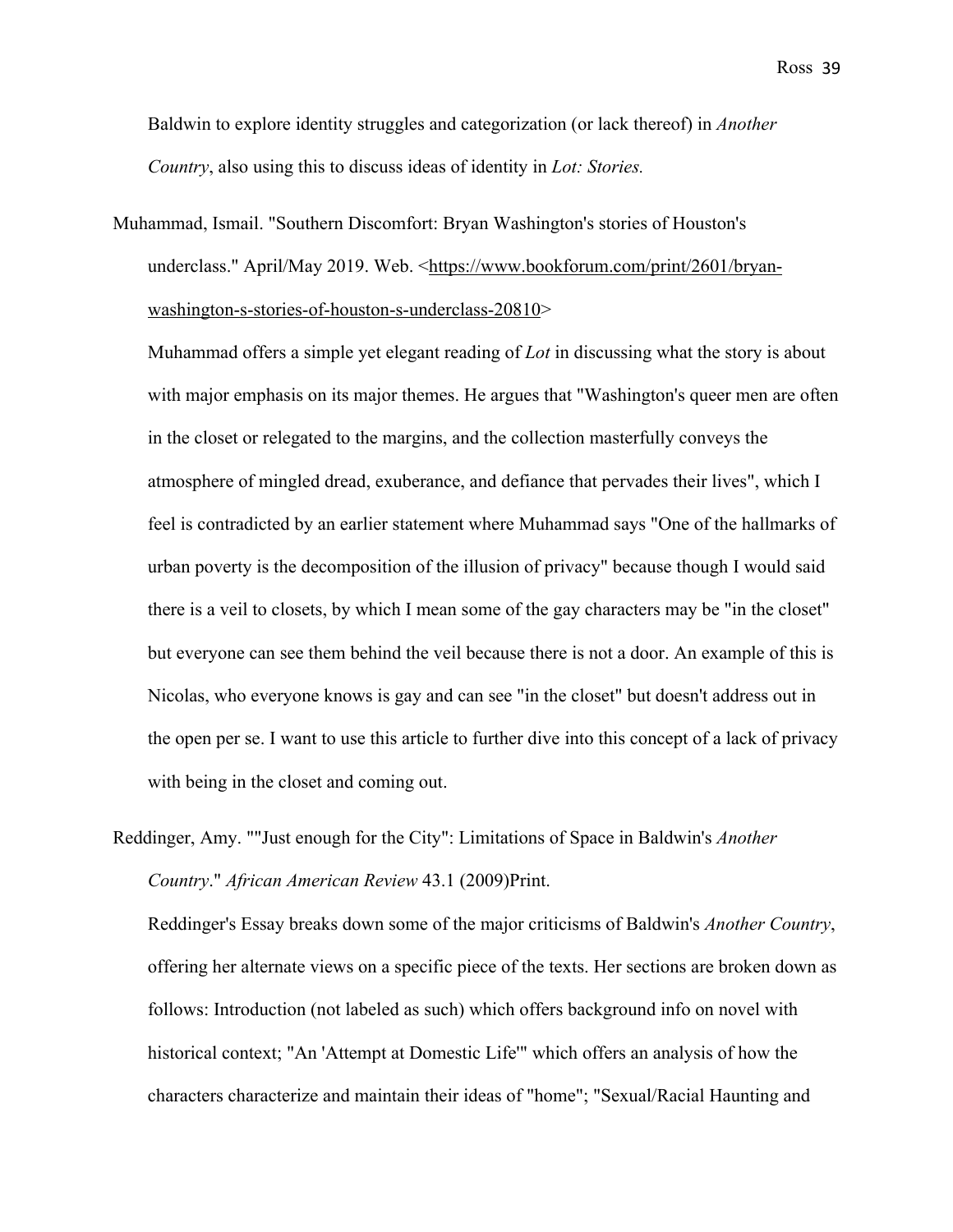Baldwin to explore identity struggles and categorization (or lack thereof) in *Another Country*, also using this to discuss ideas of identity in *Lot: Stories.* 

Muhammad, Ismail. "Southern Discomfort: Bryan Washington's stories of Houston's underclass." April/May 2019. Web. <https://www.bookforum.com/print/2601/bryanwashington-s-stories-of-houston-s-underclass-20810>

Muhammad offers a simple yet elegant reading of *Lot* in discussing what the story is about with major emphasis on its major themes. He argues that "Washington's queer men are often in the closet or relegated to the margins, and the collection masterfully conveys the atmosphere of mingled dread, exuberance, and defiance that pervades their lives", which I feel is contradicted by an earlier statement where Muhammad says "One of the hallmarks of urban poverty is the decomposition of the illusion of privacy" because though I would said there is a veil to closets, by which I mean some of the gay characters may be "in the closet" but everyone can see them behind the veil because there is not a door. An example of this is Nicolas, who everyone knows is gay and can see "in the closet" but doesn't address out in the open per se. I want to use this article to further dive into this concept of a lack of privacy with being in the closet and coming out.

Reddinger, Amy. ""Just enough for the City": Limitations of Space in Baldwin's *Another Country*." *African American Review* 43.1 (2009)Print.

Reddinger's Essay breaks down some of the major criticisms of Baldwin's *Another Country*, offering her alternate views on a specific piece of the texts. Her sections are broken down as follows: Introduction (not labeled as such) which offers background info on novel with historical context; "An 'Attempt at Domestic Life'" which offers an analysis of how the characters characterize and maintain their ideas of "home"; "Sexual/Racial Haunting and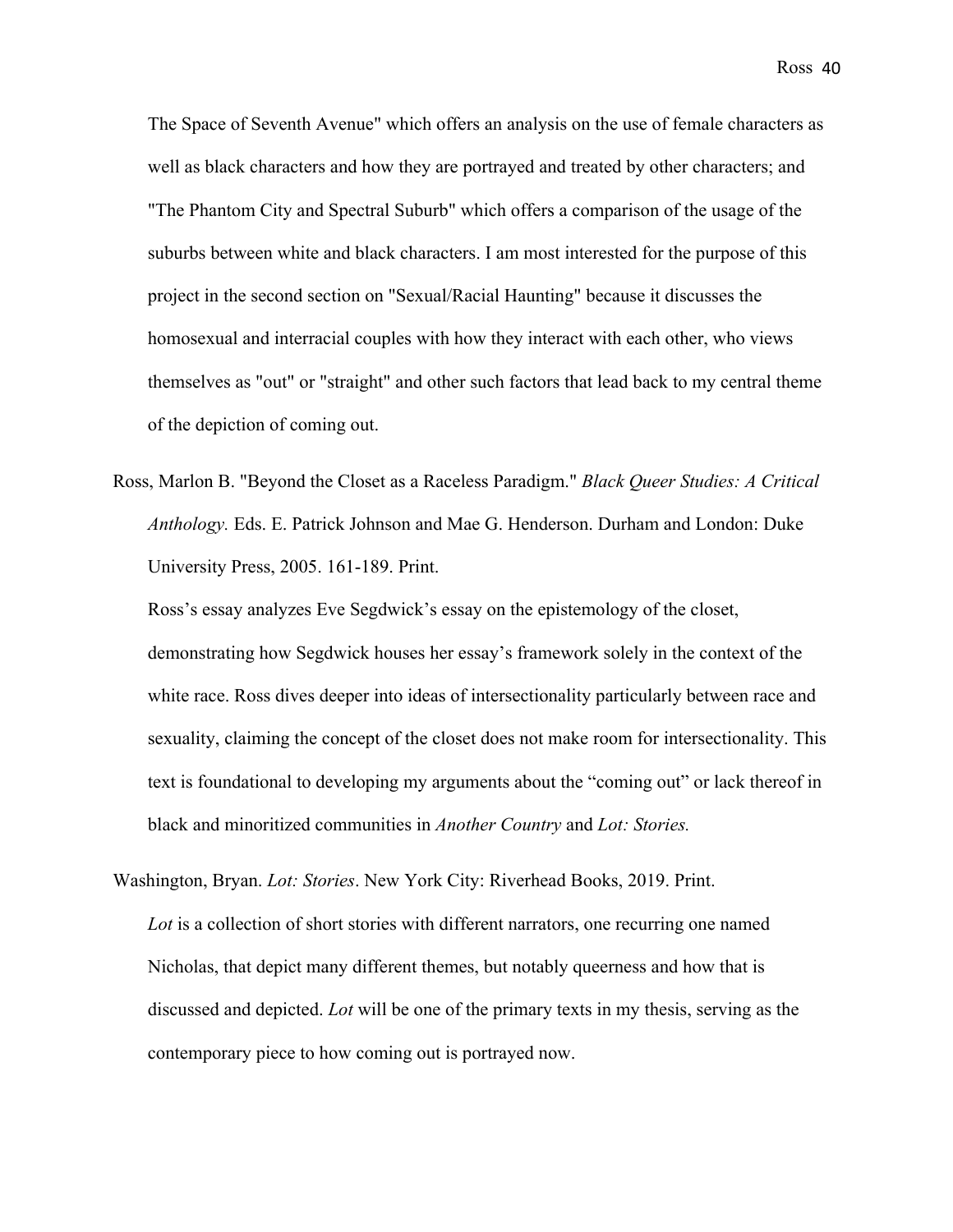The Space of Seventh Avenue" which offers an analysis on the use of female characters as well as black characters and how they are portrayed and treated by other characters; and "The Phantom City and Spectral Suburb" which offers a comparison of the usage of the suburbs between white and black characters. I am most interested for the purpose of this project in the second section on "Sexual/Racial Haunting" because it discusses the homosexual and interracial couples with how they interact with each other, who views themselves as "out" or "straight" and other such factors that lead back to my central theme of the depiction of coming out.

Ross, Marlon B. "Beyond the Closet as a Raceless Paradigm." *Black Queer Studies: A Critical Anthology.* Eds. E. Patrick Johnson and Mae G. Henderson. Durham and London: Duke University Press, 2005. 161-189. Print.

Ross's essay analyzes Eve Segdwick's essay on the epistemology of the closet, demonstrating how Segdwick houses her essay's framework solely in the context of the white race. Ross dives deeper into ideas of intersectionality particularly between race and sexuality, claiming the concept of the closet does not make room for intersectionality. This text is foundational to developing my arguments about the "coming out" or lack thereof in black and minoritized communities in *Another Country* and *Lot: Stories.* 

Washington, Bryan. *Lot: Stories*. New York City: Riverhead Books, 2019. Print. *Lot* is a collection of short stories with different narrators, one recurring one named Nicholas, that depict many different themes, but notably queerness and how that is discussed and depicted. *Lot* will be one of the primary texts in my thesis, serving as the contemporary piece to how coming out is portrayed now.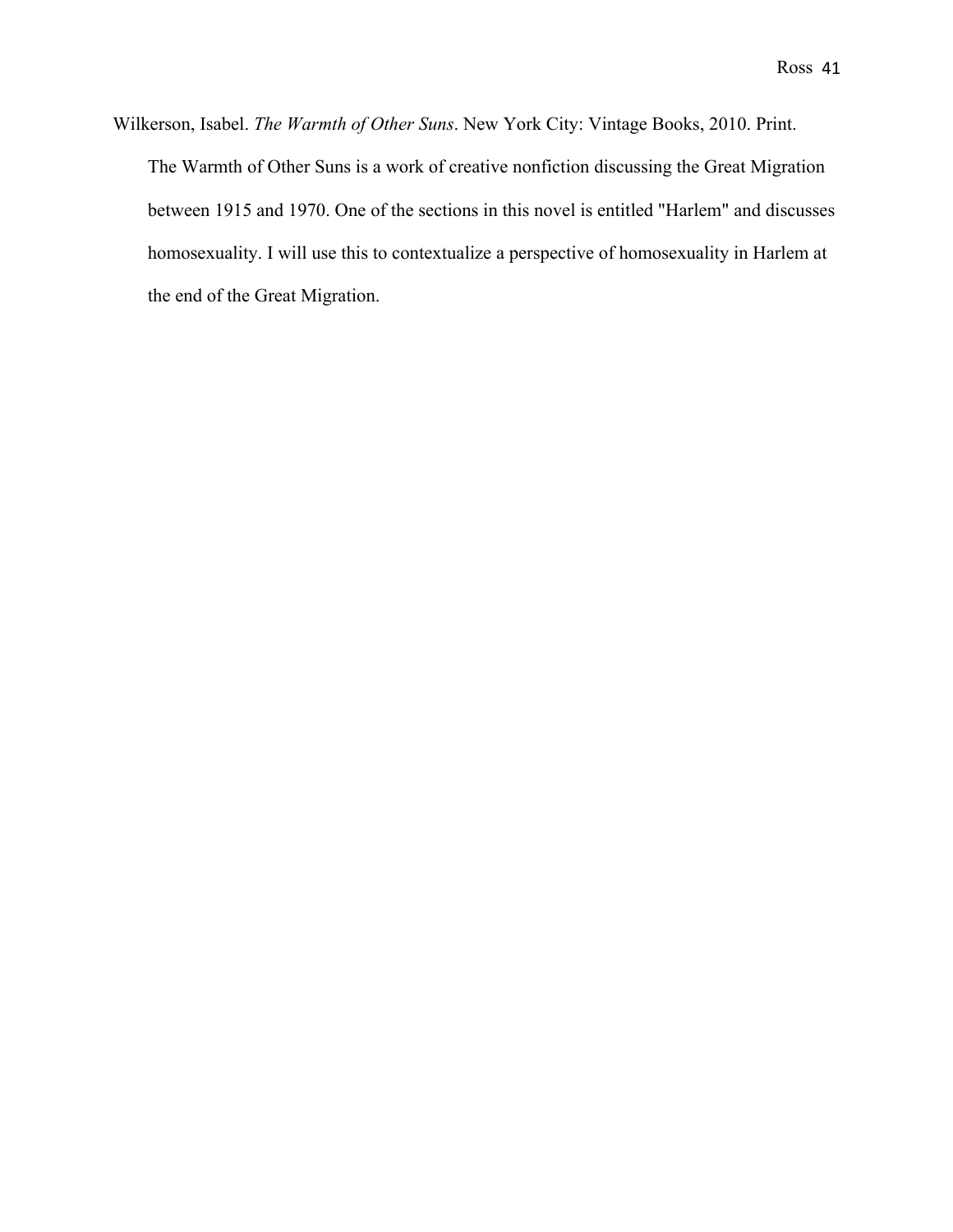Wilkerson, Isabel. *The Warmth of Other Suns*. New York City: Vintage Books, 2010. Print. The Warmth of Other Suns is a work of creative nonfiction discussing the Great Migration between 1915 and 1970. One of the sections in this novel is entitled "Harlem" and discusses homosexuality. I will use this to contextualize a perspective of homosexuality in Harlem at the end of the Great Migration.